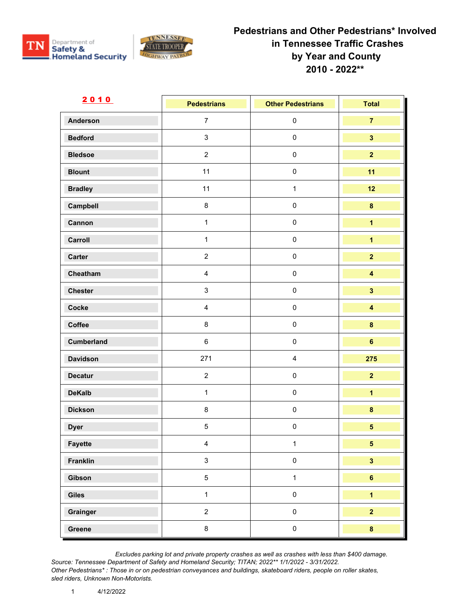



| 2010            | <b>Pedestrians</b>      | <b>Other Pedestrians</b> | <b>Total</b>            |
|-----------------|-------------------------|--------------------------|-------------------------|
| <b>Anderson</b> | $\overline{7}$          | $\pmb{0}$                | $\overline{7}$          |
| <b>Bedford</b>  | $\mathfrak{S}$          | $\pmb{0}$                | $\overline{\mathbf{3}}$ |
| <b>Bledsoe</b>  | $\overline{2}$          | $\pmb{0}$                | $\overline{\mathbf{2}}$ |
| <b>Blount</b>   | 11                      | $\pmb{0}$                | 11                      |
| <b>Bradley</b>  | 11                      | $\mathbf{1}$             | 12                      |
| Campbell        | $\bf 8$                 | $\pmb{0}$                | $\pmb{8}$               |
| Cannon          | $\mathbf{1}$            | $\mathbf 0$              | $\overline{\mathbf{1}}$ |
| Carroll         | $\mathbf{1}$            | $\pmb{0}$                | $\overline{\mathbf{1}}$ |
| Carter          | $\overline{2}$          | $\pmb{0}$                | $\overline{2}$          |
| Cheatham        | $\overline{4}$          | $\pmb{0}$                | $\overline{\mathbf{4}}$ |
| <b>Chester</b>  | $\mathsf 3$             | $\pmb{0}$                | $\overline{\mathbf{3}}$ |
| Cocke           | $\overline{\mathbf{4}}$ | $\pmb{0}$                | $\overline{\mathbf{4}}$ |
| Coffee          | 8                       | $\pmb{0}$                | $\pmb{8}$               |
| Cumberland      | $\,6\,$                 | $\pmb{0}$                | $6\phantom{a}$          |
| <b>Davidson</b> | 271                     | $\overline{\mathbf{4}}$  | 275                     |
| <b>Decatur</b>  | $\sqrt{2}$              | $\pmb{0}$                | $\overline{2}$          |
| <b>DeKalb</b>   | $\mathbf{1}$            | $\pmb{0}$                | $\overline{\mathbf{1}}$ |
| <b>Dickson</b>  | $\bf 8$                 | $\pmb{0}$                | $\pmb{8}$               |
| <b>Dyer</b>     | $\sqrt{5}$              | $\pmb{0}$                | $\overline{\mathbf{5}}$ |
| Fayette         | $\overline{4}$          | $\mathbf{1}$             | 5 <sub>1</sub>          |
| Franklin        | $\mathbf{3}$            | $\mathsf{O}\xspace$      | $\overline{\mathbf{3}}$ |
| Gibson          | $\overline{5}$          | $\mathbf{1}$             | $6\phantom{a}$          |
| Giles           | $\mathbf{1}$            | $\pmb{0}$                | $\overline{1}$          |
| Grainger        | $\overline{2}$          | $\mathbf 0$              | $\overline{2}$          |
| Greene          | $\bf 8$                 | $\mathbf 0$              | $\bf{8}$                |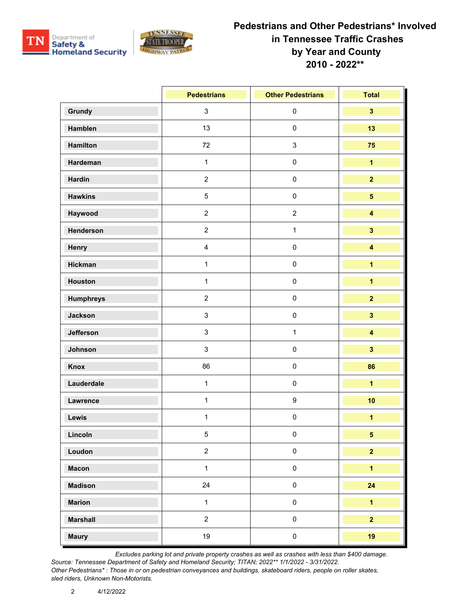



|                  | <b>Pedestrians</b> | <b>Other Pedestrians</b> | <b>Total</b>            |
|------------------|--------------------|--------------------------|-------------------------|
| Grundy           | $\mathbf{3}$       | $\pmb{0}$                | $\overline{\mathbf{3}}$ |
| Hamblen          | 13                 | $\pmb{0}$                | 13                      |
| <b>Hamilton</b>  | 72                 | $\sqrt{3}$               | 75                      |
| Hardeman         | $\mathbf{1}$       | $\pmb{0}$                | $\overline{\mathbf{1}}$ |
| <b>Hardin</b>    | $\overline{2}$     | $\pmb{0}$                | $\overline{2}$          |
| <b>Hawkins</b>   | $\overline{5}$     | $\pmb{0}$                | $\overline{\mathbf{5}}$ |
| Haywood          | $\overline{2}$     | $\overline{2}$           | $\overline{\mathbf{4}}$ |
| Henderson        | $\overline{2}$     | $\mathbf{1}$             | $\overline{\mathbf{3}}$ |
| Henry            | $\overline{4}$     | $\pmb{0}$                | $\overline{\mathbf{4}}$ |
| <b>Hickman</b>   | $\mathbf{1}$       | $\mathbf 0$              | $\overline{\mathbf{1}}$ |
| Houston          | $\mathbf{1}$       | $\pmb{0}$                | $\overline{\mathbf{1}}$ |
| <b>Humphreys</b> | $\overline{2}$     | $\pmb{0}$                | $\overline{2}$          |
| Jackson          | $\mathbf{3}$       | $\pmb{0}$                | $\overline{\mathbf{3}}$ |
| Jefferson        | $\mathbf{3}$       | $\mathbf{1}$             | $\overline{\mathbf{4}}$ |
| Johnson          | $\mathbf{3}$       | $\pmb{0}$                | $\overline{\mathbf{3}}$ |
| <b>Knox</b>      | 86                 | $\pmb{0}$                | 86                      |
| Lauderdale       | $\mathbf{1}$       | $\pmb{0}$                | $\overline{1}$          |
| Lawrence         | $\mathbf{1}$       | $\boldsymbol{9}$         | 10                      |
| Lewis            | $\mathbf{1}$       | $\pmb{0}$                | $\overline{\mathbf{1}}$ |
| Lincoln          | 5                  | $\pmb{0}$                | 5                       |
| Loudon           | $\overline{a}$     | $\pmb{0}$                | $\overline{2}$          |
| <b>Macon</b>     | $\mathbf{1}$       | $\pmb{0}$                | $\overline{1}$          |
| <b>Madison</b>   | 24                 | $\pmb{0}$                | 24                      |
| <b>Marion</b>    | $\mathbf{1}$       | $\mathsf{O}\xspace$      | $\overline{1}$          |
| <b>Marshall</b>  | $\overline{2}$     | $\pmb{0}$                | $\overline{2}$          |
| <b>Maury</b>     | 19                 | $\pmb{0}$                | 19                      |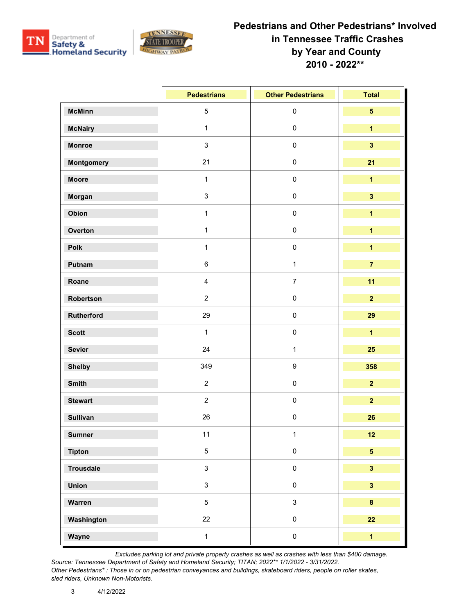



|                 | <b>Pedestrians</b>        | <b>Other Pedestrians</b> | <b>Total</b>            |
|-----------------|---------------------------|--------------------------|-------------------------|
| <b>McMinn</b>   | $\sqrt{5}$                | $\pmb{0}$                | $5\phantom{a}$          |
| <b>McNairy</b>  | $\mathbf{1}$              | $\pmb{0}$                | $\mathbf{1}$            |
| <b>Monroe</b>   | $\sqrt{3}$                | $\pmb{0}$                | $\overline{\mathbf{3}}$ |
| Montgomery      | 21                        | $\pmb{0}$                | 21                      |
| <b>Moore</b>    | $\mathbf{1}$              | $\pmb{0}$                | $\overline{\mathbf{1}}$ |
| Morgan          | $\ensuremath{\mathsf{3}}$ | $\pmb{0}$                | $\overline{\mathbf{3}}$ |
| Obion           | $\mathbf{1}$              | $\pmb{0}$                | $\overline{\mathbf{1}}$ |
| Overton         | $\mathbf{1}$              | $\pmb{0}$                | $\overline{\mathbf{1}}$ |
| Polk            | $\mathbf{1}$              | $\pmb{0}$                | $\overline{\mathbf{1}}$ |
| Putnam          | $\,6\,$                   | $\mathbf{1}$             | $\overline{7}$          |
| Roane           | $\overline{\mathbf{4}}$   | $\overline{7}$           | 11                      |
| Robertson       | $\overline{2}$            | $\pmb{0}$                | $\overline{2}$          |
| Rutherford      | 29                        | $\pmb{0}$                | 29                      |
| <b>Scott</b>    | $\mathbf{1}$              | $\pmb{0}$                | $\overline{\mathbf{1}}$ |
| <b>Sevier</b>   | 24                        | $\mathbf 1$              | 25                      |
| <b>Shelby</b>   | 349                       | $\boldsymbol{9}$         | 358                     |
| <b>Smith</b>    | $\overline{2}$            | $\pmb{0}$                | $\overline{2}$          |
| <b>Stewart</b>  | $\overline{c}$            | $\pmb{0}$                | $\overline{2}$          |
| <b>Sullivan</b> | 26                        | $\pmb{0}$                | 26                      |
| <b>Sumner</b>   | 11                        | $\mathbf{1}$             | 12                      |
| <b>Tipton</b>   | $\mathbf 5$               | $\pmb{0}$                | $\overline{\mathbf{5}}$ |
| Trousdale       | $\mathbf{3}$              | $\mathsf{O}\xspace$      | $\overline{\mathbf{3}}$ |
| <b>Union</b>    | $\mathbf{3}$              | $\pmb{0}$                | $\overline{\mathbf{3}}$ |
| Warren          | $\sqrt{5}$                | $\mathbf{3}$             | $\bf{8}$                |
| Washington      | 22                        | $\pmb{0}$                | 22                      |
| Wayne           | $\mathbf{1}$              | $\pmb{0}$                | $\overline{\mathbf{1}}$ |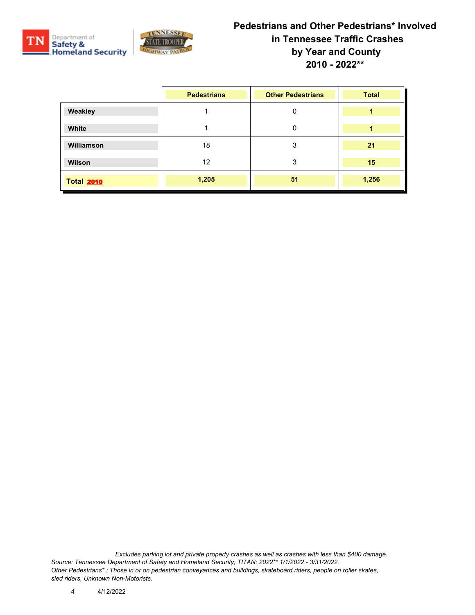



|                   | <b>Pedestrians</b> | <b>Other Pedestrians</b> | <b>Total</b> |
|-------------------|--------------------|--------------------------|--------------|
| Weakley           |                    | 0                        |              |
| White             |                    | 0                        |              |
| <b>Williamson</b> | 18                 | 3                        | 21           |
| <b>Wilson</b>     | 12                 | 3                        | 15           |
| <b>Total 2010</b> | 1,205              | 51                       | 1,256        |

*Excludes parking lot and private property crashes as well as crashes with less than \$400 damage. Source: Tennessee Department of Safety and Homeland Security; TITAN; 2022\*\* 1/1/2022 - 3/31/2022. Other Pedestrians\* : Those in or on pedestrian conveyances and buildings, skateboard riders, people on roller skates, sled riders, Unknown Non-Motorists.*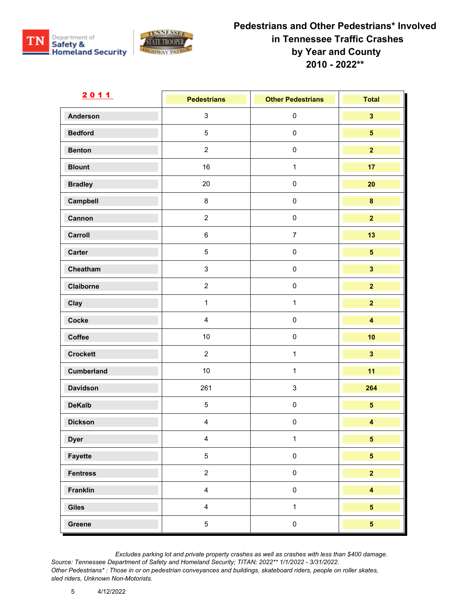



| <u>2011</u>       | <b>Pedestrians</b> | <b>Other Pedestrians</b>  | <b>Total</b>            |
|-------------------|--------------------|---------------------------|-------------------------|
| <b>Anderson</b>   | $\mathbf{3}$       | $\pmb{0}$                 | $\overline{\mathbf{3}}$ |
| <b>Bedford</b>    | $5\,$              | $\pmb{0}$                 | 5 <sup>5</sup>          |
| <b>Benton</b>     | $\overline{2}$     | $\pmb{0}$                 | $\overline{2}$          |
| <b>Blount</b>     | 16                 | $\mathbf{1}$              | 17                      |
| <b>Bradley</b>    | 20                 | $\pmb{0}$                 | 20                      |
| Campbell          | $\bf 8$            | $\pmb{0}$                 | $\pmb{8}$               |
| Cannon            | $\overline{2}$     | $\pmb{0}$                 | $\overline{2}$          |
| Carroll           | $\,6\,$            | $\overline{7}$            | 13                      |
| <b>Carter</b>     | $\overline{5}$     | $\pmb{0}$                 | $\overline{\mathbf{5}}$ |
| Cheatham          | $\mathbf{3}$       | $\pmb{0}$                 | $\overline{\mathbf{3}}$ |
| Claiborne         | $\overline{2}$     | $\pmb{0}$                 | $\overline{2}$          |
| Clay              | $\mathbf{1}$       | $\mathbf{1}$              | $\overline{2}$          |
| Cocke             | $\overline{4}$     | $\pmb{0}$                 | $\overline{\mathbf{4}}$ |
| Coffee            | $10$               | $\pmb{0}$                 | 10                      |
| <b>Crockett</b>   | $\overline{2}$     | $\mathbf{1}$              | $\overline{\mathbf{3}}$ |
| <b>Cumberland</b> | $10$               | $\mathbf{1}$              | 11                      |
| <b>Davidson</b>   | 261                | $\ensuremath{\mathsf{3}}$ | 264                     |
| <b>DeKalb</b>     | $\sqrt{5}$         | $\pmb{0}$                 | $\overline{\mathbf{5}}$ |
| <b>Dickson</b>    | $\overline{4}$     | $\pmb{0}$                 | $\overline{\mathbf{4}}$ |
| <b>Dyer</b>       | $\overline{4}$     | $\mathbf{1}$              | $5\phantom{.0}$         |
| Fayette           | $\overline{5}$     | $\mathbf 0$               | $\overline{\mathbf{5}}$ |
| <b>Fentress</b>   | $\overline{2}$     | $\pmb{0}$                 | $\overline{\mathbf{2}}$ |
| <b>Franklin</b>   | $\overline{4}$     | $\pmb{0}$                 | $\overline{\mathbf{4}}$ |
| Giles             | $\overline{4}$     | $\mathbf{1}$              | 5 <sup>5</sup>          |
| Greene            | $\overline{5}$     | $\pmb{0}$                 | $\overline{\mathbf{5}}$ |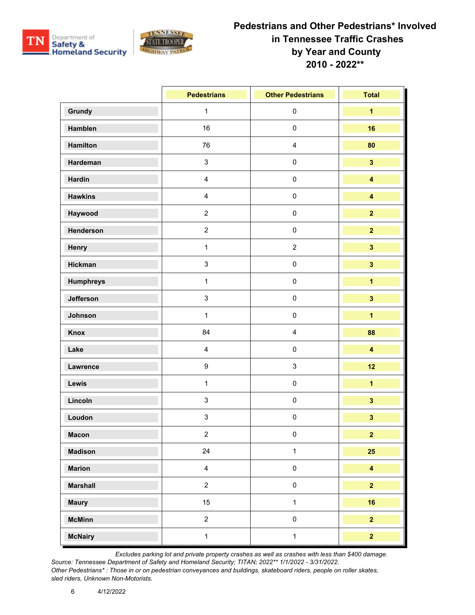



|                  | <b>Pedestrians</b>        | <b>Other Pedestrians</b> | <b>Total</b>            |
|------------------|---------------------------|--------------------------|-------------------------|
| Grundy           | $\mathbf{1}$              | $\pmb{0}$                | $\overline{\mathbf{1}}$ |
| <b>Hamblen</b>   | 16                        | $\pmb{0}$                | 16                      |
| <b>Hamilton</b>  | 76                        | $\overline{\mathbf{4}}$  | 80                      |
| Hardeman         | $\mathfrak{Z}$            | $\pmb{0}$                | $\overline{\mathbf{3}}$ |
| <b>Hardin</b>    | $\overline{4}$            | $\pmb{0}$                | $\overline{\mathbf{4}}$ |
| <b>Hawkins</b>   | $\overline{\mathbf{4}}$   | $\pmb{0}$                | $\overline{\mathbf{4}}$ |
| Haywood          | $\overline{2}$            | $\pmb{0}$                | $\overline{2}$          |
| Henderson        | $\overline{2}$            | $\pmb{0}$                | $\overline{2}$          |
| Henry            | $\mathbf{1}$              | $\sqrt{2}$               | $\overline{\mathbf{3}}$ |
| Hickman          | $\mathsf 3$               | $\mathbf 0$              | $\overline{\mathbf{3}}$ |
| <b>Humphreys</b> | $\mathbf{1}$              | $\pmb{0}$                | $\overline{\mathbf{1}}$ |
| Jefferson        | $\ensuremath{\mathsf{3}}$ | $\pmb{0}$                | $\overline{\mathbf{3}}$ |
| Johnson          | $\mathbf{1}$              | $\pmb{0}$                | $\overline{\mathbf{1}}$ |
| <b>Knox</b>      | 84                        | $\overline{4}$           | 88                      |
| Lake             | $\overline{4}$            | $\pmb{0}$                | $\overline{\mathbf{4}}$ |
| Lawrence         | $\boldsymbol{9}$          | $\sqrt{3}$               | 12                      |
| Lewis            | $\mathbf{1}$              | $\pmb{0}$                | $\overline{1}$          |
| Lincoln          | $\ensuremath{\mathsf{3}}$ | $\pmb{0}$                | $\overline{\mathbf{3}}$ |
| Loudon           | $\sqrt{3}$                | $\pmb{0}$                | $\overline{\mathbf{3}}$ |
| <b>Macon</b>     | $\overline{2}$            | $\pmb{0}$                | $\overline{2}$          |
| <b>Madison</b>   | 24                        | $\mathbf{1}$             | 25                      |
| <b>Marion</b>    | $\overline{4}$            | $\pmb{0}$                | $\overline{\mathbf{4}}$ |
| <b>Marshall</b>  | $\overline{2}$            | $\pmb{0}$                | $\overline{2}$          |
| <b>Maury</b>     | 15                        | $\mathbf{1}$             | 16                      |
| <b>McMinn</b>    | $\overline{2}$            | $\pmb{0}$                | $\overline{2}$          |
| <b>McNairy</b>   | $\mathbf{1}$              | $\mathbf{1}$             | $\overline{\mathbf{2}}$ |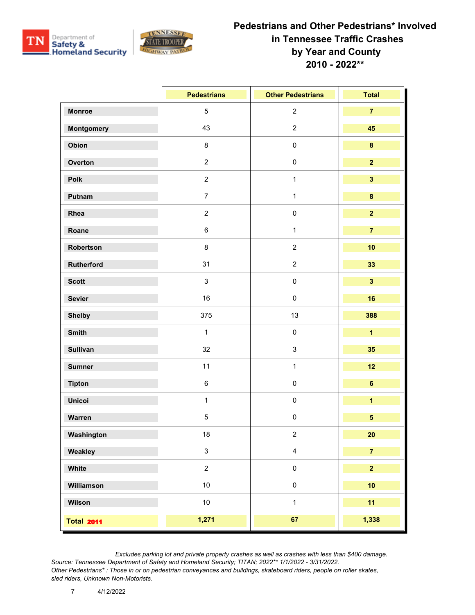



|                   | <b>Pedestrians</b> | <b>Other Pedestrians</b> | <b>Total</b>            |
|-------------------|--------------------|--------------------------|-------------------------|
| <b>Monroe</b>     | $\overline{5}$     | $\sqrt{2}$               | $\overline{7}$          |
| Montgomery        | 43                 | $\overline{2}$           | 45                      |
| Obion             | $\bf 8$            | $\pmb{0}$                | $\pmb{8}$               |
| Overton           | $\overline{2}$     | $\pmb{0}$                | $\overline{2}$          |
| Polk              | $\overline{2}$     | $\mathbf{1}$             | $\overline{\mathbf{3}}$ |
| Putnam            | $\overline{7}$     | $\mathbf{1}$             | $\pmb{8}$               |
| Rhea              | $\overline{2}$     | $\pmb{0}$                | $\overline{2}$          |
| Roane             | $\,6\,$            | $\mathbf{1}$             | $\overline{7}$          |
| Robertson         | $\bf 8$            | $\sqrt{2}$               | 10                      |
| Rutherford        | 31                 | $\overline{2}$           | 33                      |
| <b>Scott</b>      | $\mathbf{3}$       | $\pmb{0}$                | $\overline{\mathbf{3}}$ |
| <b>Sevier</b>     | 16                 | $\pmb{0}$                | 16                      |
| <b>Shelby</b>     | 375                | 13                       | 388                     |
| <b>Smith</b>      | $\mathbf{1}$       | $\pmb{0}$                | $\overline{1}$          |
| <b>Sullivan</b>   | 32                 | $\mathsf 3$              | 35                      |
| <b>Sumner</b>     | 11                 | $\mathbf{1}$             | 12                      |
| <b>Tipton</b>     | $\,6\,$            | $\pmb{0}$                | $\bf 6$                 |
| <b>Unicoi</b>     | $\mathbf{1}$       | $\pmb{0}$                | $\overline{\mathbf{1}}$ |
| Warren            | $\,$ 5 $\,$        | $\pmb{0}$                | $\overline{\mathbf{5}}$ |
| Washington        | 18                 | $\overline{2}$           | 20                      |
| Weakley           | $\mathbf{3}$       | $\overline{\mathbf{4}}$  | $\overline{7}$          |
| White             | $\overline{2}$     | $\pmb{0}$                | $\overline{\mathbf{2}}$ |
| Williamson        | 10                 | $\pmb{0}$                | 10                      |
| Wilson            | $10\,$             | $\mathbf{1}$             | 11                      |
| <b>Total 2011</b> | 1,271              | 67                       | 1,338                   |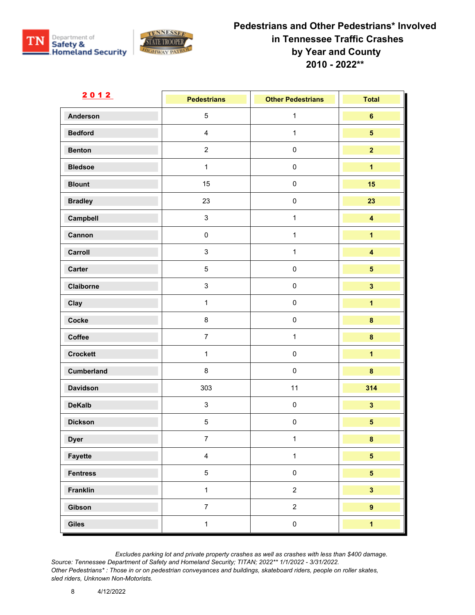



| 2012              | <b>Pedestrians</b> | <b>Other Pedestrians</b> | <b>Total</b>            |
|-------------------|--------------------|--------------------------|-------------------------|
| <b>Anderson</b>   | $5\phantom{.0}$    | $\mathbf{1}$             | $\bf 6$                 |
| <b>Bedford</b>    | $\overline{4}$     | $\mathbf{1}$             | $\overline{\mathbf{5}}$ |
| <b>Benton</b>     | $\overline{2}$     | $\pmb{0}$                | $\overline{2}$          |
| <b>Bledsoe</b>    | $\mathbf{1}$       | $\pmb{0}$                | $\overline{1}$          |
| <b>Blount</b>     | 15                 | $\pmb{0}$                | 15                      |
| <b>Bradley</b>    | 23                 | $\mathbf 0$              | 23                      |
| Campbell          | $\mathfrak{S}$     | $\mathbf{1}$             | $\overline{\mathbf{4}}$ |
| Cannon            | $\pmb{0}$          | $\mathbf{1}$             | $\overline{\mathbf{1}}$ |
| Carroll           | $\mathsf 3$        | $\mathbf{1}$             | $\overline{\mathbf{4}}$ |
| Carter            | $\overline{5}$     | $\pmb{0}$                | $\overline{\mathbf{5}}$ |
| Claiborne         | $\mathsf 3$        | $\pmb{0}$                | $\overline{\mathbf{3}}$ |
| Clay              | $\mathbf{1}$       | $\mathbf 0$              | $\overline{\mathbf{1}}$ |
| Cocke             | $\bf 8$            | $\pmb{0}$                | $\pmb{8}$               |
| Coffee            | $\overline{7}$     | $\mathbf{1}$             | $\bf{8}$                |
| <b>Crockett</b>   | $\mathbf{1}$       | $\pmb{0}$                | $\overline{\mathbf{1}}$ |
| <b>Cumberland</b> | $\bf 8$            | $\pmb{0}$                | $\bf{8}$                |
| <b>Davidson</b>   | 303                | 11                       | 314                     |
| <b>DeKalb</b>     | $\mathbf{3}$       | $\pmb{0}$                | $\mathbf{3}$            |
| <b>Dickson</b>    | $\,$ 5 $\,$        | $\pmb{0}$                | $\overline{\mathbf{5}}$ |
| <b>Dyer</b>       | $7^{\circ}$        | $\mathbf{1}$             | 8                       |
| Fayette           | $\overline{4}$     | $\mathbf{1}$             | $\overline{\mathbf{5}}$ |
| <b>Fentress</b>   | $\overline{5}$     | $\mathbf 0$              | 5 <sub>5</sub>          |
| Franklin          | $\mathbf{1}$       | $\overline{2}$           | $\overline{\mathbf{3}}$ |
| Gibson            | $\boldsymbol{7}$   | $\overline{2}$           | $\overline{9}$          |
| Giles             | $\mathbf{1}$       | $\mathbf 0$              | $\overline{1}$          |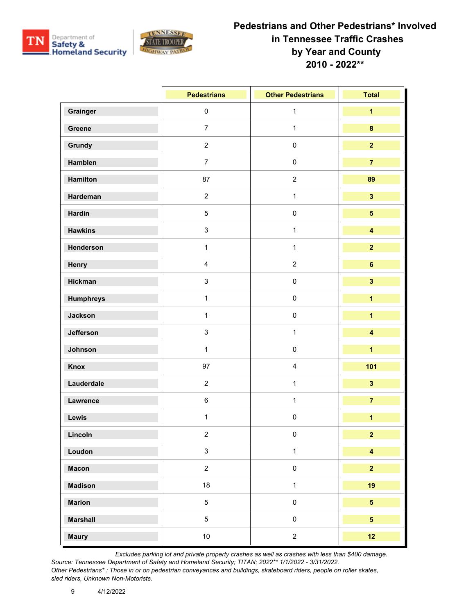



|                  | <b>Pedestrians</b>        | <b>Other Pedestrians</b> | <b>Total</b>            |
|------------------|---------------------------|--------------------------|-------------------------|
| Grainger         | $\pmb{0}$                 | $\mathbf{1}$             | $\overline{\mathbf{1}}$ |
| Greene           | $\overline{7}$            | $\mathbf{1}$             | $\bf{8}$                |
| Grundy           | $\boldsymbol{2}$          | $\pmb{0}$                | $\overline{2}$          |
| Hamblen          | $\overline{7}$            | $\pmb{0}$                | $\overline{7}$          |
| <b>Hamilton</b>  | 87                        | $\overline{2}$           | 89                      |
| Hardeman         | $\boldsymbol{2}$          | $\mathbf{1}$             | $\overline{\mathbf{3}}$ |
| Hardin           | $\sqrt{5}$                | $\pmb{0}$                | $5\phantom{.0}$         |
| <b>Hawkins</b>   | $\mathfrak{S}$            | $\mathbf{1}$             | $\overline{\mathbf{4}}$ |
| Henderson        | $\mathbf{1}$              | $\mathbf{1}$             | $\overline{2}$          |
| Henry            | $\overline{\mathbf{4}}$   | $\overline{2}$           | $6\phantom{a}$          |
| <b>Hickman</b>   | $\ensuremath{\mathsf{3}}$ | $\pmb{0}$                | $\overline{\mathbf{3}}$ |
| <b>Humphreys</b> | $\mathbf{1}$              | $\pmb{0}$                | $\overline{\mathbf{1}}$ |
| Jackson          | $\mathbf{1}$              | $\pmb{0}$                | $\overline{\mathbf{1}}$ |
| Jefferson        | $\ensuremath{\mathsf{3}}$ | $\mathbf{1}$             | $\overline{\mathbf{4}}$ |
| Johnson          | $\mathbf{1}$              | $\pmb{0}$                | $\overline{\mathbf{1}}$ |
| Knox             | 97                        | $\overline{\mathbf{4}}$  | 101                     |
| Lauderdale       | $\overline{2}$            | $\mathbf{1}$             | $\overline{\mathbf{3}}$ |
| Lawrence         | $\,6\,$                   | $\mathbf 1$              | $\overline{7}$          |
| Lewis            | $\mathbf{1}$              | $\pmb{0}$                | $\overline{\mathbf{1}}$ |
| Lincoln          | $\overline{2}$            | $\pmb{0}$                | $\overline{2}$          |
| Loudon           | $\ensuremath{\mathsf{3}}$ | $\mathbf{1}$             | $\overline{\mathbf{4}}$ |
| <b>Macon</b>     | $\overline{2}$            | $\mathsf{O}\xspace$      | $\overline{2}$          |
| <b>Madison</b>   | 18                        | $\mathbf{1}$             | 19                      |
| <b>Marion</b>    | $\sqrt{5}$                | $\mathsf{O}\xspace$      | 5 <sup>5</sup>          |
| <b>Marshall</b>  | $\overline{5}$            | $\pmb{0}$                | $5\overline{)}$         |
| <b>Maury</b>     | $10$                      | $\overline{2}$           | 12                      |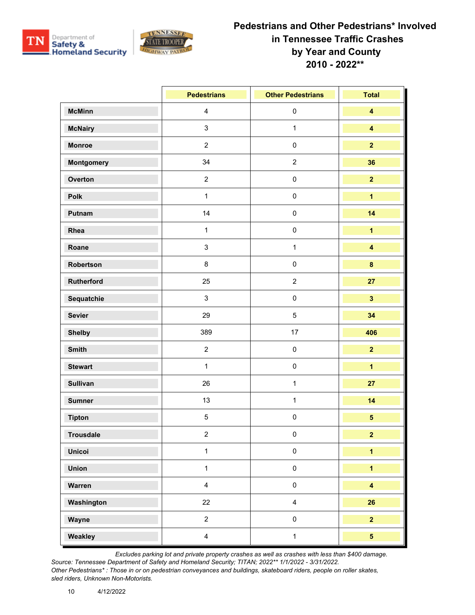



|                  | <b>Pedestrians</b>      | <b>Other Pedestrians</b> | <b>Total</b>            |
|------------------|-------------------------|--------------------------|-------------------------|
| <b>McMinn</b>    | $\overline{\mathbf{4}}$ | $\pmb{0}$                | $\overline{\mathbf{4}}$ |
| <b>McNairy</b>   | $\mathsf 3$             | $\mathbf{1}$             | $\overline{\mathbf{4}}$ |
| <b>Monroe</b>    | $\overline{2}$          | $\pmb{0}$                | $\overline{2}$          |
| Montgomery       | 34                      | $\overline{2}$           | 36                      |
| Overton          | $\overline{2}$          | $\pmb{0}$                | $\overline{2}$          |
| <b>Polk</b>      | $\mathbf{1}$            | $\pmb{0}$                | $\overline{\mathbf{1}}$ |
| Putnam           | 14                      | $\pmb{0}$                | 14                      |
| Rhea             | $\mathbf{1}$            | $\pmb{0}$                | $\overline{\mathbf{1}}$ |
| Roane            | $\mathsf 3$             | $\mathbf{1}$             | $\overline{\mathbf{4}}$ |
| Robertson        | $\bf 8$                 | $\pmb{0}$                | $\bf{8}$                |
| Rutherford       | 25                      | $\overline{2}$           | 27                      |
| Sequatchie       | $\mathsf 3$             | $\pmb{0}$                | $\overline{\mathbf{3}}$ |
| <b>Sevier</b>    | 29                      | $\sqrt{5}$               | 34                      |
| <b>Shelby</b>    | 389                     | 17                       | 406                     |
| <b>Smith</b>     | $\overline{2}$          | $\pmb{0}$                | $\overline{2}$          |
| <b>Stewart</b>   | $\mathbf{1}$            | $\pmb{0}$                | $\mathbf{1}$            |
| <b>Sullivan</b>  | 26                      | $\mathbf{1}$             | 27                      |
| <b>Sumner</b>    | 13                      | $\mathbf 1$              | 14                      |
| <b>Tipton</b>    | $\sqrt{5}$              | $\pmb{0}$                | $\overline{\mathbf{5}}$ |
| <b>Trousdale</b> | $\overline{2}$          | $\pmb{0}$                | $\overline{2}$          |
| <b>Unicoi</b>    | $\mathbf{1}$            | $\pmb{0}$                | $\overline{\mathbf{1}}$ |
| <b>Union</b>     | $\mathbf{1}$            | $\pmb{0}$                | $\overline{1}$          |
| Warren           | $\overline{4}$          | $\pmb{0}$                | $\overline{\mathbf{4}}$ |
| Washington       | 22                      | $\overline{4}$           | 26                      |
| Wayne            | $\overline{2}$          | $\pmb{0}$                | $\overline{2}$          |
| Weakley          | $\overline{4}$          | $\mathbf{1}$             | $\overline{\mathbf{5}}$ |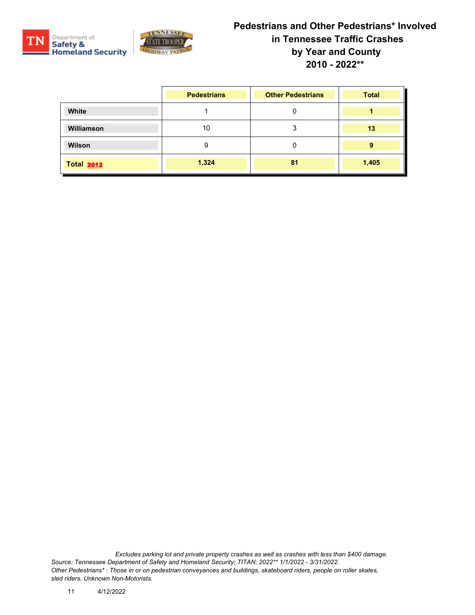



|                   | <b>Pedestrians</b> | <b>Other Pedestrians</b> | <b>Total</b> |
|-------------------|--------------------|--------------------------|--------------|
| White             |                    | 0                        |              |
| Williamson        | 10                 | 3                        | 13           |
| Wilson            | 9                  | 0                        | 9            |
| <b>Total 2012</b> | 1,324              | 81                       | 1,405        |

*Excludes parking lot and private property crashes as well as crashes with less than \$400 damage. Source: Tennessee Department of Safety and Homeland Security; TITAN; 2022\*\* 1/1/2022 - 3/31/2022. Other Pedestrians\* : Those in or on pedestrian conveyances and buildings, skateboard riders, people on roller skates, sled riders, Unknown Non-Motorists.*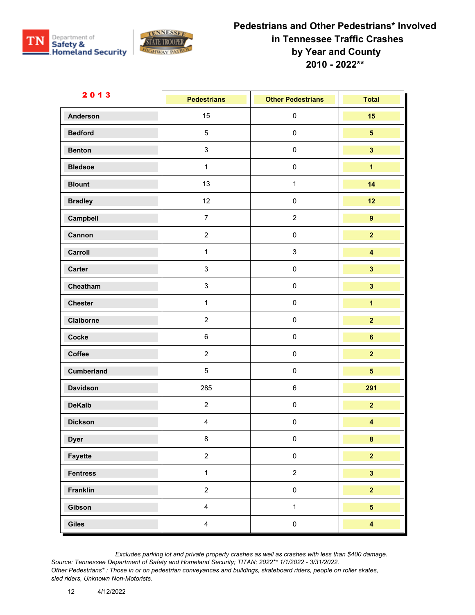



| 2013              | <b>Pedestrians</b> | <b>Other Pedestrians</b>  | <b>Total</b>            |
|-------------------|--------------------|---------------------------|-------------------------|
| <b>Anderson</b>   | 15                 | $\pmb{0}$                 | 15                      |
| <b>Bedford</b>    | $\overline{5}$     | $\pmb{0}$                 | $5\phantom{a}$          |
| <b>Benton</b>     | $\mathbf{3}$       | $\pmb{0}$                 | $\overline{\mathbf{3}}$ |
| <b>Bledsoe</b>    | $\mathbf{1}$       | $\pmb{0}$                 | $\overline{\mathbf{1}}$ |
| <b>Blount</b>     | 13                 | $\mathbf{1}$              | 14                      |
| <b>Bradley</b>    | 12                 | $\pmb{0}$                 | 12                      |
| Campbell          | $\overline{7}$     | $\overline{c}$            | $\overline{9}$          |
| Cannon            | $\overline{2}$     | $\pmb{0}$                 | $\overline{2}$          |
| Carroll           | $\mathbf{1}$       | $\ensuremath{\mathsf{3}}$ | $\overline{\mathbf{4}}$ |
| <b>Carter</b>     | $\mathbf{3}$       | $\pmb{0}$                 | $\overline{\mathbf{3}}$ |
| Cheatham          | $\mathbf{3}$       | $\pmb{0}$                 | $\overline{\mathbf{3}}$ |
| <b>Chester</b>    | $\mathbf{1}$       | $\pmb{0}$                 | $\overline{\mathbf{1}}$ |
| Claiborne         | $\overline{2}$     | $\pmb{0}$                 | $\overline{2}$          |
| Cocke             | $\,6\,$            | $\pmb{0}$                 | $6\phantom{a}$          |
| Coffee            | $\overline{2}$     | $\pmb{0}$                 | $\overline{2}$          |
| <b>Cumberland</b> | $\overline{5}$     | $\pmb{0}$                 | $\overline{\mathbf{5}}$ |
| <b>Davidson</b>   | 285                | $\,6\,$                   | 291                     |
| <b>DeKalb</b>     | $\overline{2}$     | $\pmb{0}$                 | $\overline{2}$          |
| <b>Dickson</b>    | $\overline{4}$     | $\pmb{0}$                 | $\overline{\mathbf{4}}$ |
| <b>Dyer</b>       | 8                  | $\Omega$                  | 8                       |
| Fayette           | $\overline{a}$     | $\pmb{0}$                 | $\overline{\mathbf{2}}$ |
| <b>Fentress</b>   | $\mathbf{1}$       | $\overline{2}$            | $\overline{\mathbf{3}}$ |
| Franklin          | $\overline{2}$     | $\pmb{0}$                 | $\overline{2}$          |
| Gibson            | $\overline{4}$     | $\mathbf{1}$              | 5 <sup>1</sup>          |
| Giles             | $\overline{4}$     | $\pmb{0}$                 | $\overline{\mathbf{4}}$ |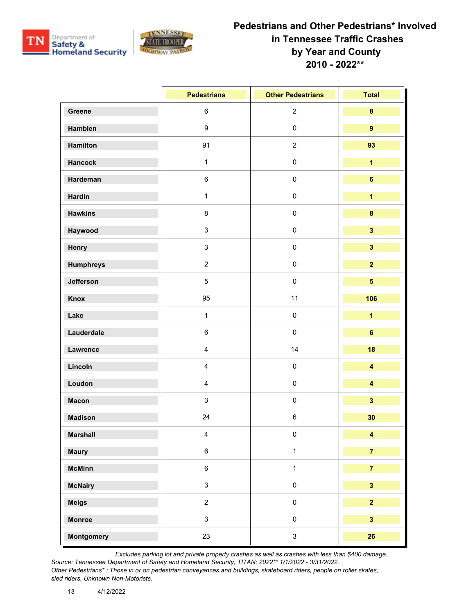



|                   | <b>Pedestrians</b>      | <b>Other Pedestrians</b> | <b>Total</b>            |
|-------------------|-------------------------|--------------------------|-------------------------|
| Greene            | $\,6\,$                 | $\overline{2}$           | $\pmb{8}$               |
| Hamblen           | $\boldsymbol{9}$        | $\pmb{0}$                | $\overline{9}$          |
| Hamilton          | 91                      | $\sqrt{2}$               | 93                      |
| Hancock           | $\mathbf{1}$            | $\pmb{0}$                | $\overline{\mathbf{1}}$ |
| Hardeman          | $\,6\,$                 | $\pmb{0}$                | $\bf 6$                 |
| <b>Hardin</b>     | $\mathbf{1}$            | $\pmb{0}$                | $\overline{\mathbf{1}}$ |
| <b>Hawkins</b>    | $\bf 8$                 | $\pmb{0}$                | $\bf{8}$                |
| Haywood           | $\mathbf{3}$            | $\pmb{0}$                | $\overline{\mathbf{3}}$ |
| Henry             | $\mathbf{3}$            | $\pmb{0}$                | $\mathbf{3}$            |
| <b>Humphreys</b>  | $\overline{2}$          | $\pmb{0}$                | $\overline{2}$          |
| Jefferson         | $\overline{5}$          | $\pmb{0}$                | $\overline{\mathbf{5}}$ |
| Knox              | 95                      | 11                       | 106                     |
| Lake              | $\mathbf{1}$            | $\pmb{0}$                | $\overline{\mathbf{1}}$ |
| Lauderdale        | $\,6\,$                 | $\pmb{0}$                | $\bf 6$                 |
| Lawrence          | $\overline{\mathbf{4}}$ | 14                       | 18                      |
| Lincoln           | $\overline{\mathbf{4}}$ | $\pmb{0}$                | $\overline{\mathbf{4}}$ |
| Loudon            | $\overline{\mathbf{4}}$ | $\pmb{0}$                | $\overline{\mathbf{4}}$ |
| <b>Macon</b>      | 3                       | $\pmb{0}$                | $\overline{\mathbf{3}}$ |
| <b>Madison</b>    | 24                      | $\,6\,$                  | 30                      |
| <b>Marshall</b>   | $\overline{\mathbf{4}}$ | $\pmb{0}$                | $\overline{\mathbf{4}}$ |
| <b>Maury</b>      | $\,6$                   | $\mathbf{1}$             | $\overline{7}$          |
| <b>McMinn</b>     | $\,6\,$                 | $\mathbf{1}$             | $\overline{7}$          |
| <b>McNairy</b>    | $\mathbf{3}$            | $\pmb{0}$                | $\overline{\mathbf{3}}$ |
| <b>Meigs</b>      | $\overline{2}$          | $\mathsf{O}\xspace$      | $\overline{2}$          |
| <b>Monroe</b>     | $\mathbf{3}$            | $\pmb{0}$                | $\overline{\mathbf{3}}$ |
| <b>Montgomery</b> | 23                      | $\mathbf{3}$             | 26                      |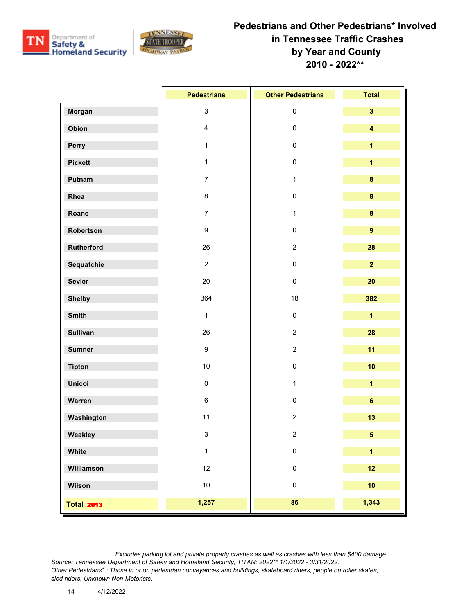



|                   | <b>Pedestrians</b> | <b>Other Pedestrians</b> | <b>Total</b>            |
|-------------------|--------------------|--------------------------|-------------------------|
| Morgan            | $\mathbf{3}$       | $\pmb{0}$                | $\overline{\mathbf{3}}$ |
| Obion             | $\overline{4}$     | $\pmb{0}$                | $\overline{\mathbf{4}}$ |
| Perry             | $\mathbf{1}$       | $\mathbf 0$              | $\overline{1}$          |
| <b>Pickett</b>    | $\mathbf{1}$       | $\mathbf 0$              | $\overline{\mathbf{1}}$ |
| Putnam            | $\overline{7}$     | $\mathbf{1}$             | $\pmb{8}$               |
| Rhea              | $\bf 8$            | $\mathbf 0$              | $\pmb{8}$               |
| Roane             | $\overline{7}$     | $\mathbf{1}$             | $\pmb{8}$               |
| Robertson         | $\boldsymbol{9}$   | $\pmb{0}$                | $\overline{9}$          |
| <b>Rutherford</b> | 26                 | $\mathbf 2$              | 28                      |
| Sequatchie        | $\overline{2}$     | $\mathbf 0$              | $\overline{2}$          |
| <b>Sevier</b>     | 20                 | $\mathbf 0$              | 20                      |
| <b>Shelby</b>     | 364                | 18                       | 382                     |
| <b>Smith</b>      | $\mathbf{1}$       | $\pmb{0}$                | $\overline{1}$          |
| <b>Sullivan</b>   | 26                 | $\overline{2}$           | 28                      |
| <b>Sumner</b>     | 9                  | $\overline{c}$           | 11                      |
| <b>Tipton</b>     | 10                 | $\mathbf 0$              | 10                      |
| <b>Unicoi</b>     | $\pmb{0}$          | $\mathbf{1}$             | $\overline{\mathbf{1}}$ |
| Warren            | $\,6\,$            | $\mathbf 0$              | $\bf 6$                 |
| Washington        | 11                 | $\boldsymbol{2}$         | 13                      |
| Weakley           | 3                  | $\overline{2}$           | 5 <sup>5</sup>          |
| White             | $\mathbf{1}$       | $\pmb{0}$                | $\overline{\mathbf{1}}$ |
| Williamson        | 12                 | $\pmb{0}$                | 12                      |
| Wilson            | 10                 | $\pmb{0}$                | 10                      |
| <b>Total 2013</b> | 1,257              | 86                       | 1,343                   |

*Excludes parking lot and private property crashes as well as crashes with less than \$400 damage.*

*Source: Tennessee Department of Safety and Homeland Security; TITAN; 2022\*\* 1/1/2022 - 3/31/2022. Other Pedestrians\* : Those in or on pedestrian conveyances and buildings, skateboard riders, people on roller skates, sled riders, Unknown Non-Motorists.*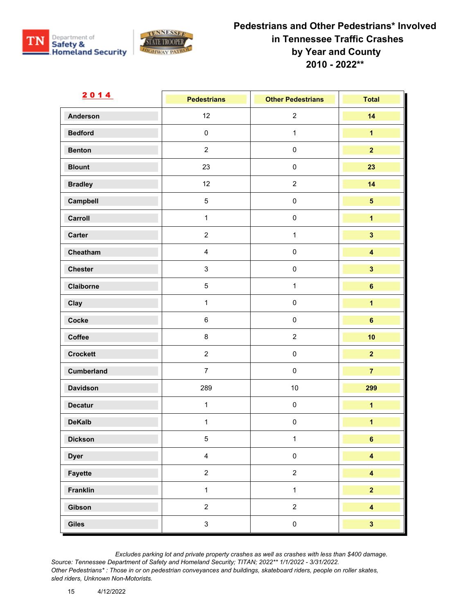



| <u>2014</u>       | <b>Pedestrians</b> | <b>Other Pedestrians</b> | <b>Total</b>            |
|-------------------|--------------------|--------------------------|-------------------------|
| <b>Anderson</b>   | 12                 | $\sqrt{2}$               | 14                      |
| <b>Bedford</b>    | $\pmb{0}$          | $\mathbf{1}$             | $\overline{1}$          |
| <b>Benton</b>     | $\overline{2}$     | $\pmb{0}$                | $\overline{2}$          |
| <b>Blount</b>     | 23                 | $\pmb{0}$                | 23                      |
| <b>Bradley</b>    | 12                 | $\sqrt{2}$               | 14                      |
| Campbell          | $\overline{5}$     | $\pmb{0}$                | $\sqrt{5}$              |
| Carroll           | $\mathbf{1}$       | $\pmb{0}$                | $\overline{\mathbf{1}}$ |
| Carter            | $\overline{2}$     | $\mathbf{1}$             | $\overline{\mathbf{3}}$ |
| Cheatham          | $\overline{4}$     | $\pmb{0}$                | $\overline{\mathbf{4}}$ |
| <b>Chester</b>    | $\mathbf{3}$       | $\pmb{0}$                | $\overline{\mathbf{3}}$ |
| Claiborne         | $\overline{5}$     | $\mathbf{1}$             | $6\phantom{a}$          |
| Clay              | $\mathbf{1}$       | $\pmb{0}$                | $\overline{\mathbf{1}}$ |
| Cocke             | $\,6\,$            | $\pmb{0}$                | $\bf 6$                 |
| Coffee            | 8                  | $\overline{2}$           | 10                      |
| <b>Crockett</b>   | $\overline{2}$     | $\pmb{0}$                | $\overline{\mathbf{2}}$ |
| <b>Cumberland</b> | $\overline{7}$     | $\pmb{0}$                | $\overline{7}$          |
| <b>Davidson</b>   | 289                | $10$                     | 299                     |
| <b>Decatur</b>    | $\mathbf{1}$       | $\pmb{0}$                | $\overline{\mathbf{1}}$ |
| <b>DeKalb</b>     | $\mathbf{1}$       | $\pmb{0}$                | $\overline{\mathbf{1}}$ |
| <b>Dickson</b>    | 5                  | $\mathbf{1}$             | 6                       |
| <b>Dyer</b>       | $\overline{4}$     | $\pmb{0}$                | $\overline{\mathbf{4}}$ |
| Fayette           | $\overline{a}$     | $\sqrt{2}$               | $\overline{\mathbf{4}}$ |
| Franklin          | $\mathbf{1}$       | $\mathbf{1}$             | $\overline{2}$          |
| Gibson            | $\overline{a}$     | $\sqrt{2}$               | $\overline{\mathbf{4}}$ |
| Giles             | $\mathbf{3}$       | $\pmb{0}$                | $\overline{\mathbf{3}}$ |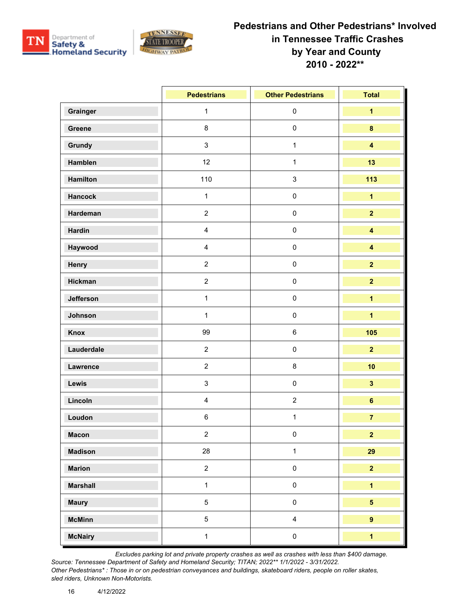



|                 | <b>Pedestrians</b>        | <b>Other Pedestrians</b> | <b>Total</b>            |
|-----------------|---------------------------|--------------------------|-------------------------|
| Grainger        | $\mathbf{1}$              | $\pmb{0}$                | $\overline{\mathbf{1}}$ |
| Greene          | $\bf 8$                   | $\pmb{0}$                | $\bf{8}$                |
| Grundy          | $\mathsf 3$               | $\mathbf{1}$             | $\overline{\mathbf{4}}$ |
| Hamblen         | 12                        | $\mathbf{1}$             | 13                      |
| <b>Hamilton</b> | 110                       | $\mathsf 3$              | 113                     |
| <b>Hancock</b>  | $\mathbf{1}$              | $\pmb{0}$                | $\overline{\mathbf{1}}$ |
| Hardeman        | $\overline{2}$            | $\pmb{0}$                | $\overline{2}$          |
| <b>Hardin</b>   | $\overline{\mathbf{4}}$   | $\pmb{0}$                | $\overline{\mathbf{4}}$ |
| Haywood         | $\overline{\mathbf{4}}$   | $\pmb{0}$                | $\overline{\mathbf{4}}$ |
| Henry           | $\overline{2}$            | $\pmb{0}$                | $\overline{2}$          |
| <b>Hickman</b>  | $\overline{2}$            | $\pmb{0}$                | $\overline{2}$          |
| Jefferson       | $\mathbf{1}$              | $\pmb{0}$                | $\overline{\mathbf{1}}$ |
| Johnson         | $\mathbf{1}$              | $\pmb{0}$                | $\overline{\mathbf{1}}$ |
| <b>Knox</b>     | 99                        | $\,6\,$                  | 105                     |
| Lauderdale      | $\overline{2}$            | $\pmb{0}$                | $\overline{2}$          |
| Lawrence        | $\boldsymbol{2}$          | $\bf 8$                  | 10                      |
| Lewis           | $\ensuremath{\mathsf{3}}$ | $\pmb{0}$                | $\overline{\mathbf{3}}$ |
| Lincoln         | $\overline{\mathbf{4}}$   | $\sqrt{2}$               | $\bf 6$                 |
| Loudon          | $\,6\,$                   | $\mathbf{1}$             | $\overline{7}$          |
| <b>Macon</b>    | $\overline{2}$            | $\pmb{0}$                | $\overline{2}$          |
| <b>Madison</b>  | 28                        | $\mathbf{1}$             | 29                      |
| <b>Marion</b>   | $\overline{2}$            | $\mathsf{O}\xspace$      | $\overline{2}$          |
| <b>Marshall</b> | $\mathbf{1}$              | $\pmb{0}$                | $\overline{\mathbf{1}}$ |
| <b>Maury</b>    | $\sqrt{5}$                | $\mathsf{O}\xspace$      | $5\overline{)}$         |
| <b>McMinn</b>   | $\sqrt{5}$                | $\overline{4}$           | $\overline{9}$          |
| <b>McNairy</b>  | $\mathbf{1}$              | $\pmb{0}$                | $\mathbf{1}$            |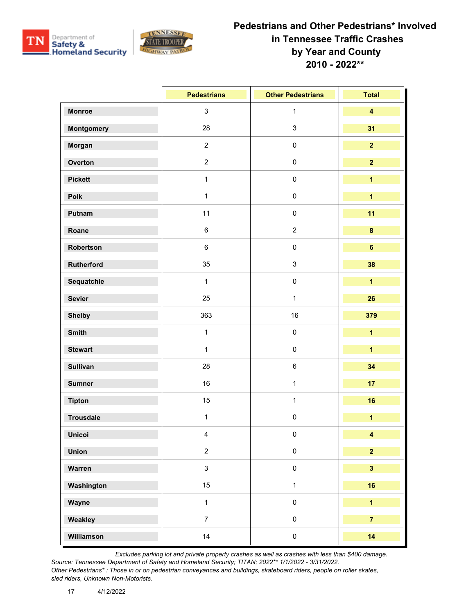



|                   | <b>Pedestrians</b> | <b>Other Pedestrians</b> | <b>Total</b>            |
|-------------------|--------------------|--------------------------|-------------------------|
| <b>Monroe</b>     | $\mathbf{3}$       | $\mathbf{1}$             | $\overline{\mathbf{4}}$ |
| <b>Montgomery</b> | 28                 | 3                        | 31                      |
| Morgan            | $\overline{2}$     | $\pmb{0}$                | $\overline{2}$          |
| Overton           | $\overline{2}$     | $\pmb{0}$                | $\overline{2}$          |
| <b>Pickett</b>    | $\mathbf{1}$       | $\pmb{0}$                | $\overline{\mathbf{1}}$ |
| Polk              | $\mathbf{1}$       | $\mathbf 0$              | $\overline{\mathbf{1}}$ |
| Putnam            | 11                 | $\pmb{0}$                | 11                      |
| Roane             | $\,6\,$            | $\overline{2}$           | $\pmb{8}$               |
| Robertson         | $\,6\,$            | $\pmb{0}$                | $6\phantom{a}$          |
| Rutherford        | 35                 | 3                        | 38                      |
| Sequatchie        | $\mathbf{1}$       | $\pmb{0}$                | $\overline{\mathbf{1}}$ |
| <b>Sevier</b>     | 25                 | $\mathbf{1}$             | 26                      |
| <b>Shelby</b>     | 363                | 16                       | 379                     |
| <b>Smith</b>      | $\mathbf{1}$       | $\pmb{0}$                | $\overline{\mathbf{1}}$ |
| <b>Stewart</b>    | $\mathbf{1}$       | $\pmb{0}$                | $\overline{\mathbf{1}}$ |
| <b>Sullivan</b>   | 28                 | $\,6\,$                  | 34                      |
| <b>Sumner</b>     | 16                 | $\mathbf{1}$             | 17                      |
| <b>Tipton</b>     | 15                 | $\mathbf{1}$             | 16                      |
| <b>Trousdale</b>  | $\mathbf{1}$       | $\pmb{0}$                | $\overline{1}$          |
| <b>Unicoi</b>     | $\overline{4}$     | $\pmb{0}$                | $\overline{\mathbf{4}}$ |
| <b>Union</b>      | $\overline{2}$     | $\pmb{0}$                | $\overline{2}$          |
| Warren            | $\mathbf{3}$       | $\pmb{0}$                | $\overline{\mathbf{3}}$ |
| Washington        | 15                 | $\mathbf{1}$             | 16                      |
| Wayne             | $\mathbf{1}$       | $\pmb{0}$                | $\overline{1}$          |
| Weakley           | $\overline{7}$     | $\pmb{0}$                | $\overline{7}$          |
| Williamson        | 14                 | $\pmb{0}$                | 14                      |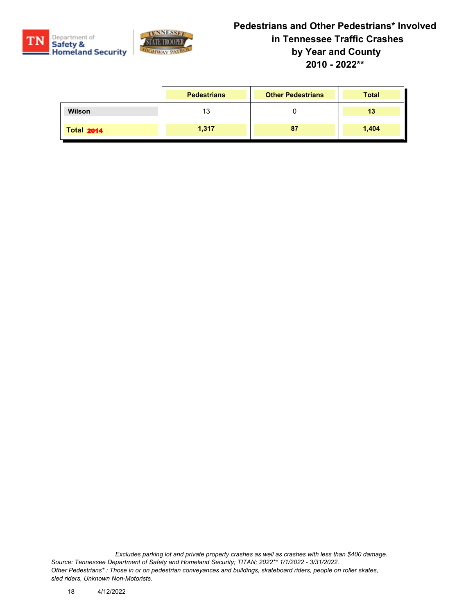



|                   | <b>Pedestrians</b> | <b>Other Pedestrians</b> | <b>Total</b> |
|-------------------|--------------------|--------------------------|--------------|
| <b>Wilson</b>     | 13                 |                          | 13           |
| <b>Total 2014</b> | 1,317              | 87                       | 1,404        |

*Excludes parking lot and private property crashes as well as crashes with less than \$400 damage. Source: Tennessee Department of Safety and Homeland Security; TITAN; 2022\*\* 1/1/2022 - 3/31/2022. Other Pedestrians\* : Those in or on pedestrian conveyances and buildings, skateboard riders, people on roller skates, sled riders, Unknown Non-Motorists.*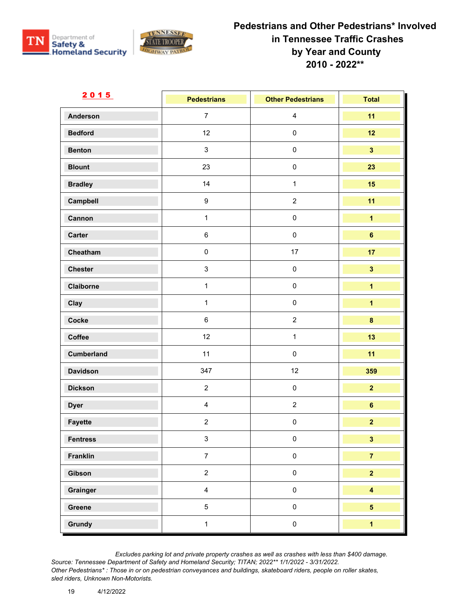



| <u>2015</u>       | <b>Pedestrians</b> | <b>Other Pedestrians</b> | <b>Total</b>            |
|-------------------|--------------------|--------------------------|-------------------------|
| <b>Anderson</b>   | $\overline{7}$     | $\overline{\mathbf{4}}$  | 11                      |
| <b>Bedford</b>    | 12                 | $\pmb{0}$                | 12                      |
| <b>Benton</b>     | $\mathbf{3}$       | $\pmb{0}$                | $\overline{\mathbf{3}}$ |
| <b>Blount</b>     | 23                 | $\pmb{0}$                | 23                      |
| <b>Bradley</b>    | 14                 | $\mathbf{1}$             | 15                      |
| Campbell          | $\boldsymbol{9}$   | $\sqrt{2}$               | 11                      |
| Cannon            | $\mathbf{1}$       | $\pmb{0}$                | $\overline{\mathbf{1}}$ |
| Carter            | $\,6$              | $\pmb{0}$                | $\bf 6$                 |
| Cheatham          | $\pmb{0}$          | 17                       | 17                      |
| <b>Chester</b>    | $\mathbf{3}$       | $\pmb{0}$                | $\mathbf{3}$            |
| Claiborne         | $\mathbf{1}$       | $\pmb{0}$                | $\overline{\mathbf{1}}$ |
| Clay              | $\mathbf{1}$       | $\pmb{0}$                | $\overline{\mathbf{1}}$ |
| Cocke             | $\,6$              | $\sqrt{2}$               | $\bf{8}$                |
| Coffee            | 12                 | $\mathbf{1}$             | 13                      |
| <b>Cumberland</b> | 11                 | $\pmb{0}$                | 11                      |
| <b>Davidson</b>   | 347                | 12                       | 359                     |
| <b>Dickson</b>    | $\overline{2}$     | $\pmb{0}$                | $\overline{2}$          |
| <b>Dyer</b>       | $\overline{4}$     | $\boldsymbol{2}$         | $\bf 6$                 |
| Fayette           | $\overline{2}$     | $\pmb{0}$                | $\overline{2}$          |
| <b>Fentress</b>   | 3                  | $\mathbf 0$              | 3 <sup>1</sup>          |
| Franklin          | $\overline{7}$     | $\pmb{0}$                | $\overline{7}$          |
| Gibson            | $\overline{a}$     | $\pmb{0}$                | $\overline{\mathbf{2}}$ |
| Grainger          | $\overline{4}$     | $\pmb{0}$                | $\overline{\mathbf{4}}$ |
| Greene            | $5\phantom{.0}$    | $\pmb{0}$                | $5\overline{)}$         |
| Grundy            | $\mathbf{1}$       | $\pmb{0}$                | $\overline{1}$          |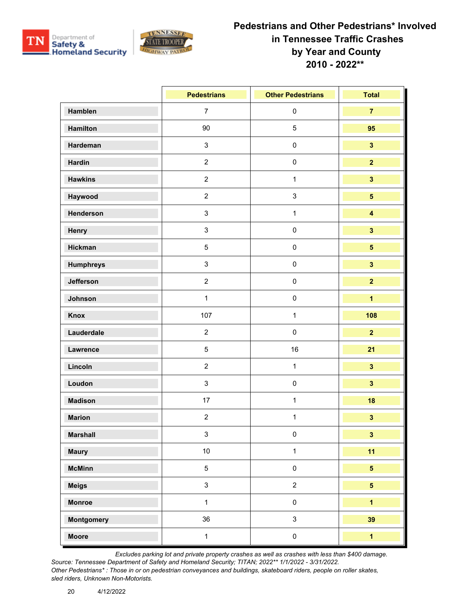



|                   | <b>Pedestrians</b> | <b>Other Pedestrians</b> | <b>Total</b>            |
|-------------------|--------------------|--------------------------|-------------------------|
| Hamblen           | $\overline{7}$     | $\pmb{0}$                | $\overline{7}$          |
| Hamilton          | 90                 | $\sqrt{5}$               | 95                      |
| Hardeman          | $\mathbf{3}$       | $\pmb{0}$                | $\overline{\mathbf{3}}$ |
| Hardin            | $\overline{2}$     | $\pmb{0}$                | $\overline{2}$          |
| <b>Hawkins</b>    | $\overline{2}$     | $\mathbf{1}$             | $\overline{\mathbf{3}}$ |
| Haywood           | $\overline{2}$     | $\sqrt{3}$               | $\overline{\mathbf{5}}$ |
| Henderson         | $\mathbf{3}$       | $\mathbf{1}$             | $\overline{\mathbf{4}}$ |
| Henry             | $\mathbf{3}$       | $\pmb{0}$                | $\overline{\mathbf{3}}$ |
| Hickman           | $5\phantom{.0}$    | $\pmb{0}$                | $\overline{\mathbf{5}}$ |
| <b>Humphreys</b>  | $\mathbf{3}$       | $\pmb{0}$                | $\overline{\mathbf{3}}$ |
| Jefferson         | $\overline{2}$     | $\pmb{0}$                | $\overline{2}$          |
| Johnson           | $\mathbf{1}$       | $\pmb{0}$                | $\overline{1}$          |
| Knox              | 107                | $\mathbf{1}$             | 108                     |
| Lauderdale        | $\overline{2}$     | $\pmb{0}$                | $\overline{2}$          |
| Lawrence          | $\overline{5}$     | 16                       | 21                      |
| Lincoln           | $\overline{2}$     | $\mathbf{1}$             | $\overline{\mathbf{3}}$ |
| Loudon            | $\mathbf{3}$       | $\pmb{0}$                | $\overline{\mathbf{3}}$ |
| <b>Madison</b>    | 17                 | $\mathbf{1}$             | 18                      |
| <b>Marion</b>     | $\overline{2}$     | $\mathbf{1}$             | $\overline{\mathbf{3}}$ |
| <b>Marshall</b>   | 3                  | 0                        | $\mathbf{3}$            |
| <b>Maury</b>      | $10\,$             | $\mathbf{1}$             | 11                      |
| <b>McMinn</b>     | $5\phantom{.0}$    | $\pmb{0}$                | 5 <sub>5</sub>          |
| <b>Meigs</b>      | $\mathbf{3}$       | $\sqrt{2}$               | 5 <sup>5</sup>          |
| <b>Monroe</b>     | $\mathbf{1}$       | $\pmb{0}$                | $\overline{1}$          |
| <b>Montgomery</b> | 36                 | $\mathsf 3$              | 39                      |
| <b>Moore</b>      | $\mathbf{1}$       | $\pmb{0}$                | $\overline{1}$          |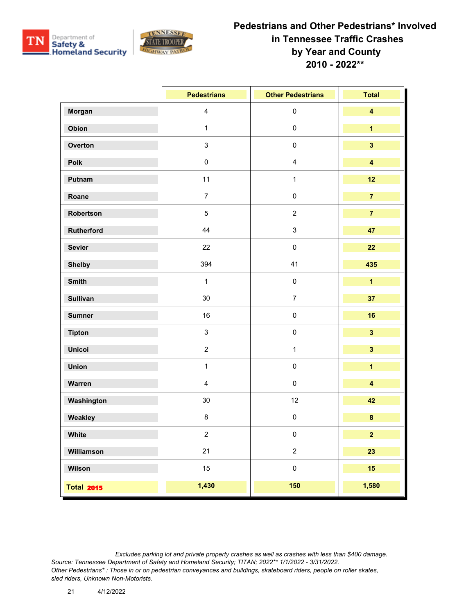



|                   | <b>Pedestrians</b>      | <b>Other Pedestrians</b>  | <b>Total</b>            |
|-------------------|-------------------------|---------------------------|-------------------------|
| Morgan            | $\overline{\mathbf{4}}$ | $\mathbf 0$               | $\overline{\mathbf{4}}$ |
| Obion             | $\mathbf{1}$            | $\pmb{0}$                 | $\mathbf{1}$            |
| Overton           | $\mathbf{3}$            | $\mathbf 0$               | $\overline{\mathbf{3}}$ |
| Polk              | $\pmb{0}$               | $\overline{\mathbf{4}}$   | $\overline{\mathbf{4}}$ |
| Putnam            | 11                      | $\mathbf{1}$              | 12                      |
| Roane             | $\overline{7}$          | $\mathbf 0$               | $\overline{7}$          |
| Robertson         | $\overline{5}$          | $\sqrt{2}$                | $\overline{7}$          |
| Rutherford        | 44                      | $\ensuremath{\mathsf{3}}$ | 47                      |
| <b>Sevier</b>     | 22                      | $\pmb{0}$                 | 22                      |
| <b>Shelby</b>     | 394                     | 41                        | 435                     |
| <b>Smith</b>      | $\mathbf{1}$            | $\mathbf 0$               | $\overline{\mathbf{1}}$ |
| <b>Sullivan</b>   | 30                      | $\boldsymbol{7}$          | 37                      |
| <b>Sumner</b>     | 16                      | $\mathbf 0$               | 16                      |
| <b>Tipton</b>     | $\mathbf{3}$            | $\mathbf 0$               | $\overline{\mathbf{3}}$ |
| <b>Unicoi</b>     | $\overline{2}$          | $\mathbf{1}$              | $\overline{\mathbf{3}}$ |
| <b>Union</b>      | $\mathbf{1}$            | $\mathbf 0$               | $\overline{1}$          |
| Warren            | $\overline{4}$          | $\mathbf 0$               | $\overline{\mathbf{4}}$ |
| Washington        | $30\,$                  | 12                        | 42                      |
| Weakley           | 8                       | $\pmb{0}$                 | $\pmb{8}$               |
| White             | $\overline{2}$          | 0                         | $\overline{2}$          |
| Williamson        | 21                      | $\boldsymbol{2}$          | 23                      |
| Wilson            | 15                      | $\pmb{0}$                 | 15                      |
| <b>Total 2015</b> | 1,430                   | 150                       | 1,580                   |

*Excludes parking lot and private property crashes as well as crashes with less than \$400 damage. Source: Tennessee Department of Safety and Homeland Security; TITAN; 2022\*\* 1/1/2022 - 3/31/2022. Other Pedestrians\* : Those in or on pedestrian conveyances and buildings, skateboard riders, people on roller skates, sled riders, Unknown Non-Motorists.*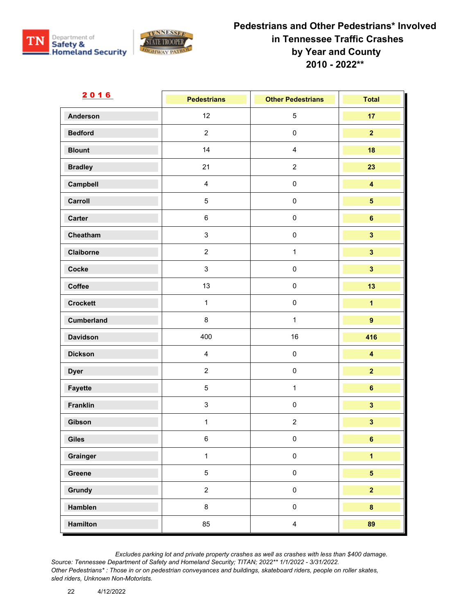



| 2016              | <b>Pedestrians</b>      | <b>Other Pedestrians</b> | <b>Total</b>            |
|-------------------|-------------------------|--------------------------|-------------------------|
| <b>Anderson</b>   | 12                      | $\sqrt{5}$               | 17                      |
| <b>Bedford</b>    | $\overline{c}$          | $\pmb{0}$                | $\overline{2}$          |
| <b>Blount</b>     | 14                      | $\overline{4}$           | 18                      |
| <b>Bradley</b>    | 21                      | $\sqrt{2}$               | 23                      |
| Campbell          | $\overline{\mathbf{4}}$ | $\pmb{0}$                | $\overline{\mathbf{4}}$ |
| Carroll           | $\overline{5}$          | $\pmb{0}$                | $\overline{\mathbf{5}}$ |
| Carter            | 6                       | $\pmb{0}$                | $6\phantom{a}$          |
| Cheatham          | $\mathbf{3}$            | $\pmb{0}$                | $\overline{\mathbf{3}}$ |
| Claiborne         | $\overline{2}$          | $\mathbf{1}$             | $\overline{\mathbf{3}}$ |
| Cocke             | $\mathbf{3}$            | $\pmb{0}$                | $\overline{\mathbf{3}}$ |
| Coffee            | 13                      | $\pmb{0}$                | 13                      |
| <b>Crockett</b>   | $\mathbf{1}$            | $\pmb{0}$                | $\overline{\mathbf{1}}$ |
| <b>Cumberland</b> | 8                       | $\mathbf{1}$             | $\overline{9}$          |
| <b>Davidson</b>   | 400                     | 16                       | 416                     |
| <b>Dickson</b>    | $\overline{4}$          | $\pmb{0}$                | $\overline{\mathbf{4}}$ |
| <b>Dyer</b>       | $\overline{2}$          | $\pmb{0}$                | $\overline{2}$          |
| Fayette           | $\overline{5}$          | $\mathbf{1}$             | $6\phantom{a}$          |
| <b>Franklin</b>   | $\mathbf{3}$            | $\pmb{0}$                | $\overline{\mathbf{3}}$ |
| Gibson            | $\mathbf{1}$            | $\overline{2}$           | $\mathbf{3}$            |
| Giles             | 6                       | $\Omega$                 | 6                       |
| Grainger          | $\mathbf{1}$            | $\mathsf{O}\xspace$      | $\overline{\mathbf{1}}$ |
| Greene            | $\overline{5}$          | $\mathbf 0$              | $\overline{\mathbf{5}}$ |
| Grundy            | $\overline{2}$          | $\pmb{0}$                | $\overline{2}$          |
| Hamblen           | 8                       | $\mathsf{O}\xspace$      | $\bf{8}$                |
| Hamilton          | 85                      | $\overline{4}$           | 89                      |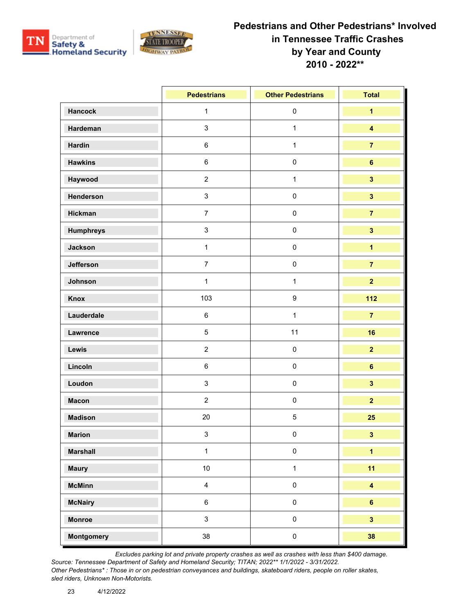



|                   | <b>Pedestrians</b>      | <b>Other Pedestrians</b> | <b>Total</b>            |
|-------------------|-------------------------|--------------------------|-------------------------|
| <b>Hancock</b>    | $\mathbf{1}$            | $\pmb{0}$                | $\overline{1}$          |
| Hardeman          | $\mathbf{3}$            | $\mathbf{1}$             | $\overline{\mathbf{4}}$ |
| <b>Hardin</b>     | $\,6\,$                 | $\mathbf{1}$             | $\overline{7}$          |
| <b>Hawkins</b>    | $\,6\,$                 | $\pmb{0}$                | $\bf 6$                 |
| Haywood           | $\overline{2}$          | $\mathbf{1}$             | $\overline{\mathbf{3}}$ |
| Henderson         | $\mathsf 3$             | $\pmb{0}$                | $\overline{\mathbf{3}}$ |
| Hickman           | $\overline{7}$          | $\pmb{0}$                | $\overline{7}$          |
| <b>Humphreys</b>  | $\mathbf{3}$            | $\pmb{0}$                | $\overline{\mathbf{3}}$ |
| <b>Jackson</b>    | $\mathbf{1}$            | $\pmb{0}$                | $\overline{\mathbf{1}}$ |
| Jefferson         | $\overline{7}$          | $\pmb{0}$                | $\overline{7}$          |
| Johnson           | $\mathbf{1}$            | $\mathbf{1}$             | $\overline{2}$          |
| Knox              | 103                     | $\boldsymbol{9}$         | 112                     |
| Lauderdale        | $\,6\,$                 | $\mathbf{1}$             | $\overline{7}$          |
| Lawrence          | $\overline{5}$          | 11                       | 16                      |
| Lewis             | $\overline{2}$          | $\pmb{0}$                | $\overline{2}$          |
| Lincoln           | $\,6\,$                 | $\pmb{0}$                | $\bf 6$                 |
| Loudon            | $\mathfrak{S}$          | $\pmb{0}$                | $\overline{\mathbf{3}}$ |
| <b>Macon</b>      | $\overline{2}$          | $\pmb{0}$                | $\overline{2}$          |
| <b>Madison</b>    | 20                      | $\sqrt{5}$               | 25                      |
| <b>Marion</b>     | 3                       | $\mathbf 0$              | $\mathbf{3}$            |
| <b>Marshall</b>   | $\mathbf{1}$            | $\pmb{0}$                | $\overline{1}$          |
| <b>Maury</b>      | 10                      | $\mathbf{1}$             | 11                      |
| <b>McMinn</b>     | $\overline{\mathbf{4}}$ | $\pmb{0}$                | $\overline{\mathbf{4}}$ |
| <b>McNairy</b>    | $\,6\,$                 | $\mathbf 0$              | $6\phantom{a}$          |
| <b>Monroe</b>     | $\mathbf{3}$            | $\mathsf{O}\xspace$      | $\overline{\mathbf{3}}$ |
| <b>Montgomery</b> | 38                      | $\mathbf 0$              | 38                      |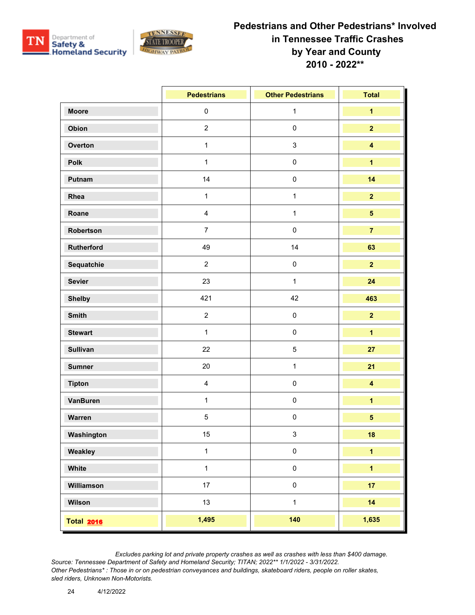



|                   | <b>Pedestrians</b> | <b>Other Pedestrians</b> | <b>Total</b>            |
|-------------------|--------------------|--------------------------|-------------------------|
| <b>Moore</b>      | $\pmb{0}$          | $\mathbf{1}$             | $\overline{\mathbf{1}}$ |
| Obion             | $\overline{2}$     | $\pmb{0}$                | $\overline{2}$          |
| Overton           | $\mathbf{1}$       | $\mathsf 3$              | $\overline{\mathbf{4}}$ |
| Polk              | $\mathbf{1}$       | $\pmb{0}$                | $\overline{\mathbf{1}}$ |
| Putnam            | 14                 | $\pmb{0}$                | 14                      |
| Rhea              | $\mathbf{1}$       | $\mathbf{1}$             | $\overline{2}$          |
| Roane             | $\overline{4}$     | $\mathbf{1}$             | $\overline{\mathbf{5}}$ |
| Robertson         | $\overline{7}$     | $\pmb{0}$                | $\overline{7}$          |
| Rutherford        | 49                 | 14                       | 63                      |
| Sequatchie        | $\overline{2}$     | $\pmb{0}$                | $\overline{2}$          |
| <b>Sevier</b>     | 23                 | $\mathbf{1}$             | 24                      |
| <b>Shelby</b>     | 421                | 42                       | 463                     |
| <b>Smith</b>      | $\overline{2}$     | $\pmb{0}$                | $\overline{2}$          |
| <b>Stewart</b>    | $\mathbf{1}$       | $\pmb{0}$                | $\overline{\mathbf{1}}$ |
| <b>Sullivan</b>   | 22                 | $\mathbf 5$              | 27                      |
| <b>Sumner</b>     | 20                 | $\mathbf{1}$             | 21                      |
| <b>Tipton</b>     | $\overline{4}$     | $\pmb{0}$                | $\overline{\mathbf{4}}$ |
| VanBuren          | $\mathbf{1}$       | $\pmb{0}$                | $\overline{\mathbf{1}}$ |
| Warren            | $5\,$              | $\pmb{0}$                | $\overline{\mathbf{5}}$ |
| Washington        | 15                 | 3                        | 18                      |
| Weakley           | $\mathbf{1}$       | $\pmb{0}$                | $\overline{\mathbf{1}}$ |
| White             | $\mathbf{1}$       | $\pmb{0}$                | $\overline{\mathbf{1}}$ |
| Williamson        | 17                 | $\pmb{0}$                | 17                      |
| Wilson            | 13                 | $\mathbf{1}$             | 14                      |
| <b>Total 2016</b> | 1,495              | 140                      | 1,635                   |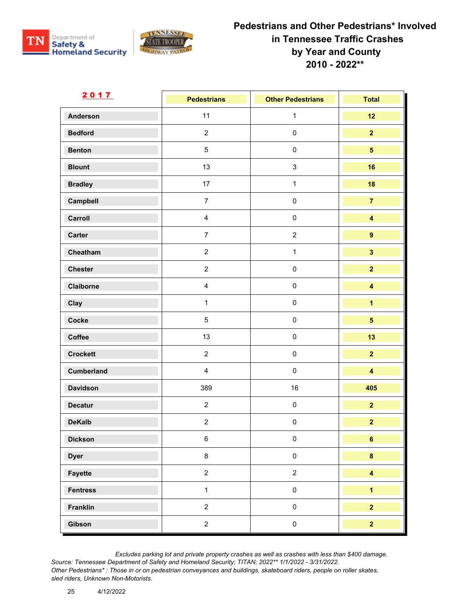



| <u>2017</u>       | <b>Pedestrians</b>      | <b>Other Pedestrians</b> | <b>Total</b>            |
|-------------------|-------------------------|--------------------------|-------------------------|
| <b>Anderson</b>   | 11                      | $\mathbf{1}$             | 12                      |
| <b>Bedford</b>    | $\overline{2}$          | $\pmb{0}$                | $\overline{2}$          |
| <b>Benton</b>     | $\overline{5}$          | $\pmb{0}$                | 5 <sup>5</sup>          |
| <b>Blount</b>     | 13                      | $\sqrt{3}$               | 16                      |
| <b>Bradley</b>    | 17                      | $\mathbf{1}$             | 18                      |
| Campbell          | $\overline{7}$          | $\pmb{0}$                | $\overline{7}$          |
| Carroll           | $\overline{\mathbf{4}}$ | $\pmb{0}$                | $\overline{\mathbf{4}}$ |
| Carter            | $\overline{7}$          | $\overline{2}$           | $\overline{9}$          |
| Cheatham          | $\overline{2}$          | $\mathbf{1}$             | $\overline{\mathbf{3}}$ |
| <b>Chester</b>    | $\overline{2}$          | $\pmb{0}$                | $\overline{2}$          |
| Claiborne         | $\overline{\mathbf{4}}$ | $\pmb{0}$                | $\overline{\mathbf{4}}$ |
| Clay              | $\mathbf{1}$            | $\pmb{0}$                | $\overline{\mathbf{1}}$ |
| Cocke             | $5\,$                   | $\pmb{0}$                | $5\phantom{a}$          |
| Coffee            | 13                      | $\pmb{0}$                | 13                      |
| <b>Crockett</b>   | $\overline{2}$          | $\pmb{0}$                | $\overline{2}$          |
| <b>Cumberland</b> | $\overline{\mathbf{4}}$ | $\pmb{0}$                | $\overline{\mathbf{4}}$ |
| <b>Davidson</b>   | 389                     | 16                       | 405                     |
| <b>Decatur</b>    | $\overline{2}$          | $\pmb{0}$                | $\overline{2}$          |
| <b>DeKalb</b>     | $\overline{2}$          | $\pmb{0}$                | $\overline{2}$          |
| <b>Dickson</b>    | 6                       | $\Omega$                 | 6                       |
| <b>Dyer</b>       | $\bf 8$                 | $\mathsf{O}\xspace$      | $\bf{8}$                |
| Fayette           | $\overline{a}$          | $\overline{2}$           | $\overline{\mathbf{4}}$ |
| <b>Fentress</b>   | $\mathbf{1}$            | $\mathbf 0$              | $\overline{1}$          |
| Franklin          | $\overline{2}$          | $\mathsf{O}\xspace$      | $\overline{2}$          |
| Gibson            | $\overline{a}$          | $\mathbf 0$              | $\overline{\mathbf{2}}$ |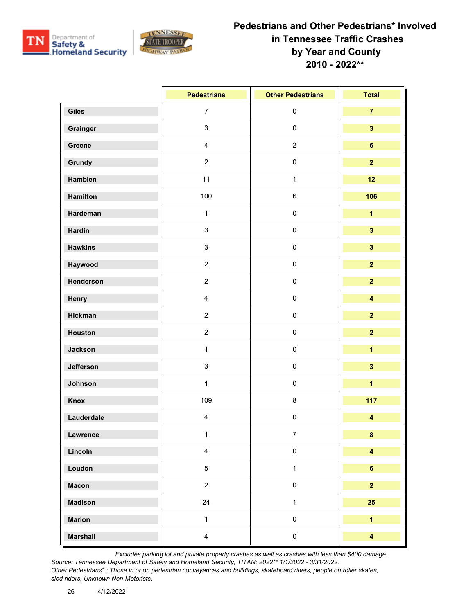



|                 | <b>Pedestrians</b>      | <b>Other Pedestrians</b> | <b>Total</b>            |
|-----------------|-------------------------|--------------------------|-------------------------|
| <b>Giles</b>    | $\overline{7}$          | $\pmb{0}$                | $\overline{7}$          |
| Grainger        | $\mathbf{3}$            | $\pmb{0}$                | $\mathbf{3}$            |
| Greene          | $\overline{\mathbf{4}}$ | $\sqrt{2}$               | $\bf 6$                 |
| Grundy          | $\overline{2}$          | $\pmb{0}$                | $\overline{2}$          |
| Hamblen         | 11                      | $\mathbf{1}$             | 12                      |
| <b>Hamilton</b> | 100                     | $\,6$                    | 106                     |
| Hardeman        | $\mathbf{1}$            | $\pmb{0}$                | $\overline{1}$          |
| <b>Hardin</b>   | $\mathbf{3}$            | $\pmb{0}$                | $\overline{\mathbf{3}}$ |
| <b>Hawkins</b>  | $\mathbf{3}$            | $\pmb{0}$                | $\overline{\mathbf{3}}$ |
| Haywood         | $\overline{2}$          | $\pmb{0}$                | $\overline{2}$          |
| Henderson       | $\overline{2}$          | $\pmb{0}$                | $\overline{2}$          |
| Henry           | $\overline{\mathbf{4}}$ | $\pmb{0}$                | $\overline{\mathbf{4}}$ |
| <b>Hickman</b>  | $\overline{2}$          | $\pmb{0}$                | $\overline{2}$          |
| Houston         | $\overline{2}$          | $\pmb{0}$                | $\overline{2}$          |
| <b>Jackson</b>  | $\mathbf{1}$            | $\pmb{0}$                | $\overline{\mathbf{1}}$ |
| Jefferson       | $\mathsf 3$             | $\pmb{0}$                | $\overline{\mathbf{3}}$ |
| Johnson         | $\mathbf{1}$            | $\pmb{0}$                | $\overline{\mathbf{1}}$ |
| Knox            | 109                     | $\bf 8$                  | 117                     |
| Lauderdale      | $\overline{4}$          | $\pmb{0}$                | $\overline{\mathbf{4}}$ |
| Lawrence        | $\mathbf{1}$            | $\overline{7}$           | $\pmb{8}$               |
| Lincoln         | $\overline{4}$          | $\pmb{0}$                | $\overline{\mathbf{4}}$ |
| Loudon          | $\overline{5}$          | $\mathbf{1}$             | $6\phantom{a}$          |
| <b>Macon</b>    | $\overline{2}$          | $\pmb{0}$                | $\overline{2}$          |
| <b>Madison</b>  | 24                      | $\mathbf{1}$             | 25                      |
| <b>Marion</b>   | $\mathbf{1}$            | $\pmb{0}$                | $\overline{1}$          |
| <b>Marshall</b> | $\overline{4}$          | $\pmb{0}$                | $\overline{\mathbf{4}}$ |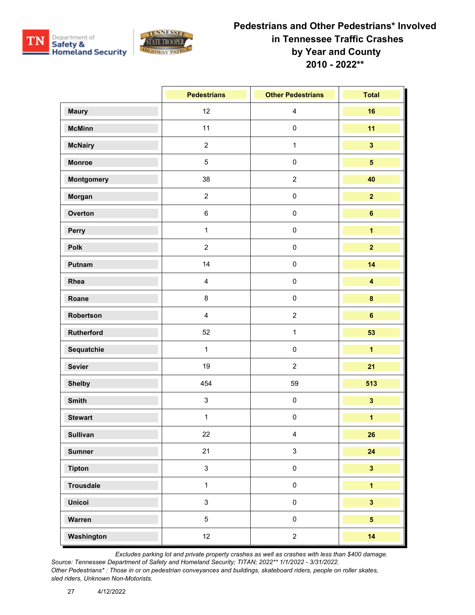



|                  | <b>Pedestrians</b>      | <b>Other Pedestrians</b> | <b>Total</b>            |
|------------------|-------------------------|--------------------------|-------------------------|
| <b>Maury</b>     | 12                      | $\overline{\mathbf{4}}$  | 16                      |
| <b>McMinn</b>    | 11                      | $\pmb{0}$                | 11                      |
| <b>McNairy</b>   | $\overline{2}$          | $\mathbf{1}$             | $\overline{\mathbf{3}}$ |
| <b>Monroe</b>    | $\overline{5}$          | $\pmb{0}$                | 5 <sup>5</sup>          |
| Montgomery       | 38                      | $\sqrt{2}$               | 40                      |
| Morgan           | $\overline{2}$          | $\pmb{0}$                | $\overline{\mathbf{2}}$ |
| Overton          | $\,6\,$                 | $\pmb{0}$                | $6\phantom{a}$          |
| Perry            | $\mathbf{1}$            | $\pmb{0}$                | $\overline{\mathbf{1}}$ |
| Polk             | $\overline{2}$          | $\pmb{0}$                | $\overline{2}$          |
| Putnam           | 14                      | $\pmb{0}$                | 14                      |
| Rhea             | $\overline{\mathbf{4}}$ | $\pmb{0}$                | $\overline{\mathbf{4}}$ |
| Roane            | 8                       | $\pmb{0}$                | $\bf{8}$                |
| Robertson        | $\overline{4}$          | $\sqrt{2}$               | $6\phantom{a}$          |
| Rutherford       | 52                      | $\mathbf{1}$             | 53                      |
| Sequatchie       | $\mathbf{1}$            | $\pmb{0}$                | $\overline{\mathbf{1}}$ |
| <b>Sevier</b>    | 19                      | $\sqrt{2}$               | 21                      |
| <b>Shelby</b>    | 454                     | 59                       | 513                     |
| <b>Smith</b>     | $\mathbf{3}$            | $\pmb{0}$                | $\overline{\mathbf{3}}$ |
| <b>Stewart</b>   | $\mathbf{1}$            | $\pmb{0}$                | $\overline{\mathbf{1}}$ |
| <b>Sullivan</b>  | 22                      | $\overline{\mathbf{4}}$  | 26                      |
| <b>Sumner</b>    | 21                      | $\sqrt{3}$               | 24                      |
| <b>Tipton</b>    | $\mathbf{3}$            | $\pmb{0}$                | $\overline{\mathbf{3}}$ |
| <b>Trousdale</b> | $\mathbf{1}$            | $\pmb{0}$                | $\overline{1}$          |
| <b>Unicoi</b>    | $\mathbf{3}$            | $\mathsf{O}\xspace$      | $\overline{\mathbf{3}}$ |
| Warren           | $5\phantom{.0}$         | $\pmb{0}$                | 5 <sup>5</sup>          |
| Washington       | 12                      | $\sqrt{2}$               | 14                      |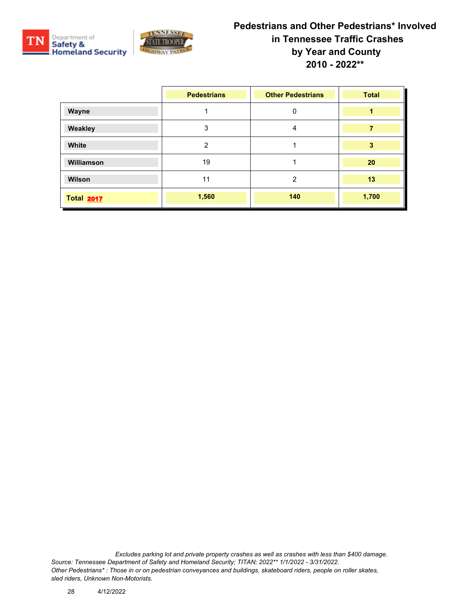



|                   | <b>Pedestrians</b> | <b>Other Pedestrians</b> | <b>Total</b> |
|-------------------|--------------------|--------------------------|--------------|
| Wayne             |                    | 0                        | 1            |
| Weakley           | 3                  | $\overline{4}$           | 7            |
| White             | 2                  |                          | 3            |
| <b>Williamson</b> | 19                 |                          | 20           |
| Wilson            | 11                 | $\overline{2}$           | 13           |
| <b>Total 2017</b> | 1,560              | 140                      | 1,700        |

*Excludes parking lot and private property crashes as well as crashes with less than \$400 damage. Source: Tennessee Department of Safety and Homeland Security; TITAN; 2022\*\* 1/1/2022 - 3/31/2022. Other Pedestrians\* : Those in or on pedestrian conveyances and buildings, skateboard riders, people on roller skates, sled riders, Unknown Non-Motorists.*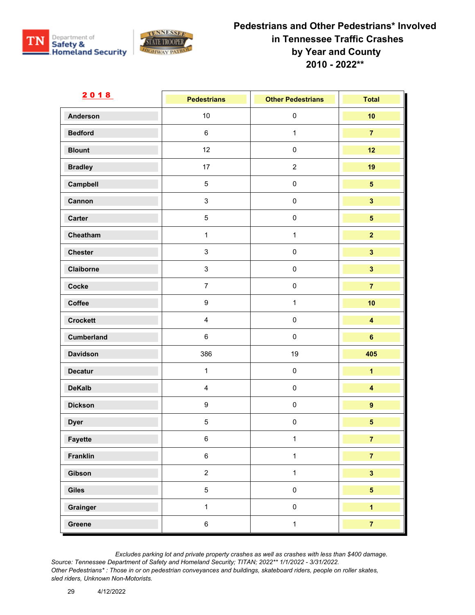



| <u>2018</u>     | <b>Pedestrians</b> | <b>Other Pedestrians</b> | <b>Total</b>            |
|-----------------|--------------------|--------------------------|-------------------------|
| <b>Anderson</b> | 10                 | $\pmb{0}$                | 10                      |
| <b>Bedford</b>  | 6                  | $\mathbf{1}$             | $\overline{7}$          |
| <b>Blount</b>   | 12                 | $\pmb{0}$                | 12                      |
| <b>Bradley</b>  | 17                 | $\overline{2}$           | 19                      |
| Campbell        | $\overline{5}$     | $\pmb{0}$                | $5\phantom{a}$          |
| Cannon          | $\mathbf{3}$       | $\pmb{0}$                | $\overline{\mathbf{3}}$ |
| Carter          | $\overline{5}$     | $\pmb{0}$                | 5 <sup>5</sup>          |
| Cheatham        | $\mathbf{1}$       | $\mathbf{1}$             | $\overline{2}$          |
| <b>Chester</b>  | $\mathbf{3}$       | $\pmb{0}$                | $\overline{\mathbf{3}}$ |
| Claiborne       | $\mathbf{3}$       | $\pmb{0}$                | $\overline{\mathbf{3}}$ |
| Cocke           | $\overline{7}$     | $\pmb{0}$                | $\overline{7}$          |
| Coffee          | $\boldsymbol{9}$   | $\mathbf{1}$             | 10                      |
| <b>Crockett</b> | $\overline{4}$     | $\pmb{0}$                | $\overline{\mathbf{4}}$ |
| Cumberland      | 6                  | $\pmb{0}$                | $6\phantom{a}$          |
| <b>Davidson</b> | 386                | 19                       | 405                     |
| <b>Decatur</b>  | $\mathbf{1}$       | $\pmb{0}$                | $\overline{1}$          |
| <b>DeKalb</b>   | $\overline{4}$     | $\pmb{0}$                | $\overline{\mathbf{4}}$ |
| <b>Dickson</b>  | $\boldsymbol{9}$   | $\pmb{0}$                | $\boldsymbol{9}$        |
| <b>Dyer</b>     | $5\,$              | $\pmb{0}$                | $\overline{\mathbf{5}}$ |
| Fayette         | 6                  | $\mathbf{1}$             | $\overline{7}$          |
| Franklin        | $\,6\,$            | $\mathbf{1}$             | $\overline{7}$          |
| Gibson          | $\overline{2}$     | $\mathbf{1}$             | $\overline{\mathbf{3}}$ |
| Giles           | $\overline{5}$     | $\pmb{0}$                | 5 <sup>5</sup>          |
| Grainger        | $\mathbf{1}$       | $\pmb{0}$                | $\overline{1}$          |
| Greene          | $\,6\,$            | $\mathbf{1}$             | $\overline{7}$          |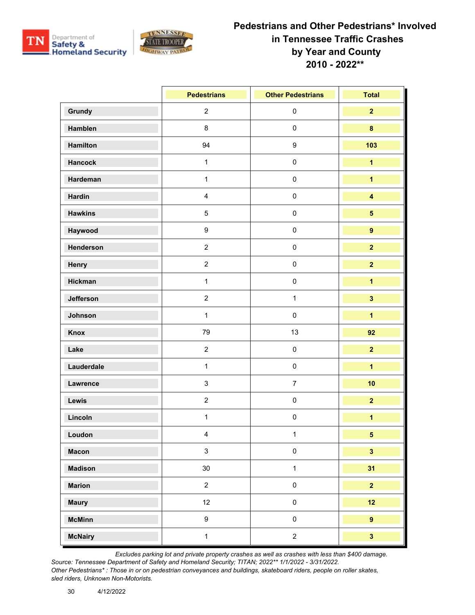



|                | <b>Pedestrians</b>      | <b>Other Pedestrians</b> | <b>Total</b>            |
|----------------|-------------------------|--------------------------|-------------------------|
| Grundy         | $\overline{2}$          | $\pmb{0}$                | $\overline{2}$          |
| <b>Hamblen</b> | 8                       | $\pmb{0}$                | $\bf{8}$                |
| Hamilton       | 94                      | $\boldsymbol{9}$         | 103                     |
| <b>Hancock</b> | $\mathbf{1}$            | $\pmb{0}$                | $\overline{1}$          |
| Hardeman       | $\mathbf{1}$            | $\pmb{0}$                | $\overline{\mathbf{1}}$ |
| <b>Hardin</b>  | $\overline{\mathbf{4}}$ | $\mathbf 0$              | $\overline{\mathbf{4}}$ |
| <b>Hawkins</b> | $5\phantom{.0}$         | $\pmb{0}$                | $5\phantom{.0}$         |
| Haywood        | 9                       | $\pmb{0}$                | $\overline{9}$          |
| Henderson      | $\overline{2}$          | $\pmb{0}$                | $\overline{2}$          |
| Henry          | $\overline{c}$          | $\pmb{0}$                | $\overline{2}$          |
| <b>Hickman</b> | $\mathbf{1}$            | $\pmb{0}$                | $\overline{\mathbf{1}}$ |
| Jefferson      | $\overline{2}$          | $\mathbf{1}$             | $\overline{\mathbf{3}}$ |
| Johnson        | $\mathbf{1}$            | $\pmb{0}$                | $\overline{1}$          |
| <b>Knox</b>    | 79                      | 13                       | 92                      |
| Lake           | $\overline{2}$          | $\pmb{0}$                | $\overline{2}$          |
| Lauderdale     | $\mathbf{1}$            | $\pmb{0}$                | $\overline{\mathbf{1}}$ |
| Lawrence       | $\mathbf{3}$            | $\overline{7}$           | 10                      |
| Lewis          | $\overline{2}$          | $\pmb{0}$                | $\overline{2}$          |
| Lincoln        | $\mathbf{1}$            | $\pmb{0}$                | $\overline{\mathbf{1}}$ |
| Loudon         | $\overline{4}$          | $\mathbf{1}$             | 5                       |
| <b>Macon</b>   | $\mathbf{3}$            | $\pmb{0}$                | $\overline{\mathbf{3}}$ |
| <b>Madison</b> | 30                      | $\mathbf{1}$             | 31                      |
| <b>Marion</b>  | $\overline{c}$          | $\pmb{0}$                | $\overline{2}$          |
| <b>Maury</b>   | 12                      | $\mathsf{O}\xspace$      | 12                      |
| <b>McMinn</b>  | 9                       | $\pmb{0}$                | $\overline{9}$          |
| <b>McNairy</b> | $\mathbf{1}$            | $\overline{c}$           | $\overline{\mathbf{3}}$ |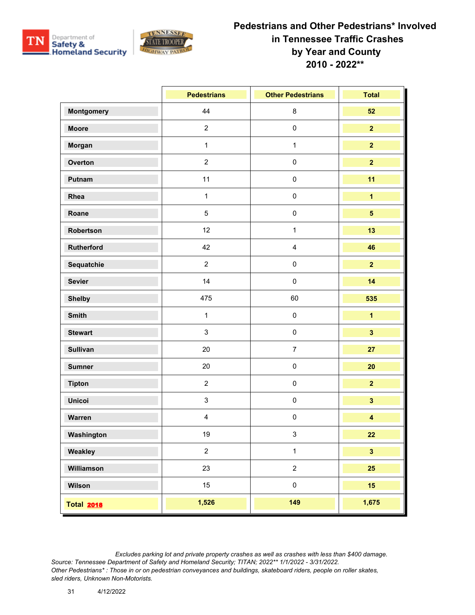



|                   | <b>Pedestrians</b> | <b>Other Pedestrians</b> | <b>Total</b>            |
|-------------------|--------------------|--------------------------|-------------------------|
| <b>Montgomery</b> | 44                 | $\bf 8$                  | 52                      |
| <b>Moore</b>      | $\overline{2}$     | $\mathbf 0$              | $\overline{2}$          |
| Morgan            | $\mathbf{1}$       | $\mathbf{1}$             | $\overline{2}$          |
| Overton           | $\overline{2}$     | $\mathbf 0$              | $\overline{2}$          |
| Putnam            | 11                 | $\mathbf 0$              | 11                      |
| Rhea              | $\mathbf{1}$       | $\mathbf 0$              | $\overline{\mathbf{1}}$ |
| Roane             | $\overline{5}$     | $\mathbf 0$              | $\overline{\mathbf{5}}$ |
| Robertson         | 12                 | $\mathbf{1}$             | 13                      |
| <b>Rutherford</b> | 42                 | $\overline{\mathbf{4}}$  | 46                      |
| Sequatchie        | $\overline{2}$     | $\mathbf 0$              | $\overline{2}$          |
| <b>Sevier</b>     | 14                 | $\mathbf 0$              | 14                      |
| <b>Shelby</b>     | 475                | 60                       | 535                     |
| <b>Smith</b>      | $\mathbf{1}$       | $\pmb{0}$                | $\overline{\mathbf{1}}$ |
| <b>Stewart</b>    | $\mathbf{3}$       | $\mathbf 0$              | $\overline{\mathbf{3}}$ |
| <b>Sullivan</b>   | 20                 | $\overline{7}$           | 27                      |
| <b>Sumner</b>     | 20                 | $\mathbf 0$              | 20                      |
| <b>Tipton</b>     | $\overline{2}$     | $\mathbf 0$              | $\overline{2}$          |
| <b>Unicoi</b>     | $\mathbf{3}$       | $\mathbf 0$              | $\overline{\mathbf{3}}$ |
| Warren            | $\overline{4}$     | $\mathbf 0$              | $\overline{\mathbf{4}}$ |
| Washington        | 19                 | $\mathbf{3}$             | 22                      |
| Weakley           | $\overline{2}$     | $\mathbf{1}$             | $\overline{\mathbf{3}}$ |
| Williamson        | 23                 | $\overline{2}$           | 25                      |
| Wilson            | 15                 | $\pmb{0}$                | 15 <sub>1</sub>         |
| <b>Total 2018</b> | 1,526              | 149                      | 1,675                   |

*Excludes parking lot and private property crashes as well as crashes with less than \$400 damage.*

*Source: Tennessee Department of Safety and Homeland Security; TITAN; 2022\*\* 1/1/2022 - 3/31/2022. Other Pedestrians\* : Those in or on pedestrian conveyances and buildings, skateboard riders, people on roller skates, sled riders, Unknown Non-Motorists.*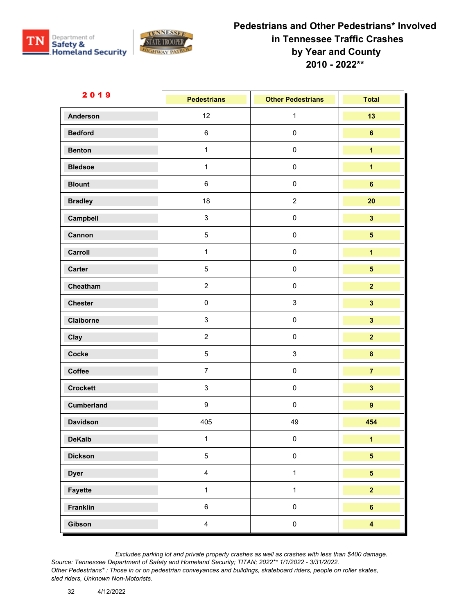



| <u>2019</u>       | <b>Pedestrians</b>      | <b>Other Pedestrians</b> | <b>Total</b>            |
|-------------------|-------------------------|--------------------------|-------------------------|
| <b>Anderson</b>   | 12                      | $\mathbf{1}$             | 13                      |
| <b>Bedford</b>    | $\,6\,$                 | $\pmb{0}$                | $\bf 6$                 |
| <b>Benton</b>     | $\mathbf{1}$            | $\pmb{0}$                | $\overline{\mathbf{1}}$ |
| <b>Bledsoe</b>    | $\mathbf{1}$            | $\pmb{0}$                | $\overline{\mathbf{1}}$ |
| <b>Blount</b>     | $\,6\,$                 | $\pmb{0}$                | $\bf 6$                 |
| <b>Bradley</b>    | 18                      | $\sqrt{2}$               | 20                      |
| Campbell          | $\mathbf{3}$            | $\pmb{0}$                | $\overline{\mathbf{3}}$ |
| Cannon            | $\overline{5}$          | $\pmb{0}$                | $5\phantom{.0}$         |
| Carroll           | $\mathbf{1}$            | $\pmb{0}$                | $\overline{\mathbf{1}}$ |
| Carter            | $\overline{5}$          | $\pmb{0}$                | $5\overline{)}$         |
| Cheatham          | $\overline{2}$          | $\pmb{0}$                | $\overline{2}$          |
| <b>Chester</b>    | $\pmb{0}$               | $\mathsf 3$              | $\overline{\mathbf{3}}$ |
| Claiborne         | $\mathbf{3}$            | $\pmb{0}$                | $\overline{\mathbf{3}}$ |
| Clay              | $\overline{2}$          | $\pmb{0}$                | $\overline{2}$          |
| Cocke             | $5\phantom{.0}$         | $\mathsf 3$              | $\pmb{8}$               |
| Coffee            | $\overline{7}$          | $\pmb{0}$                | $\overline{7}$          |
| <b>Crockett</b>   | $\mathsf 3$             | $\pmb{0}$                | $\overline{\mathbf{3}}$ |
| <b>Cumberland</b> | $\boldsymbol{9}$        | $\pmb{0}$                | $\mathbf{9}$            |
| <b>Davidson</b>   | 405                     | 49                       | 454                     |
| <b>DeKalb</b>     | $\mathbf{1}$            | $\mathbf 0$              | $\overline{\mathbf{1}}$ |
| <b>Dickson</b>    | $\sqrt{5}$              | $\pmb{0}$                | $\overline{\mathbf{5}}$ |
| <b>Dyer</b>       | $\overline{4}$          | $\mathbf{1}$             | $\overline{\mathbf{5}}$ |
| Fayette           | $\mathbf{1}$            | $\mathbf{1}$             | $\overline{2}$          |
| Franklin          | $\,6\,$                 | $\pmb{0}$                | $6\phantom{a}$          |
| Gibson            | $\overline{\mathbf{4}}$ | $\pmb{0}$                | $\overline{\mathbf{4}}$ |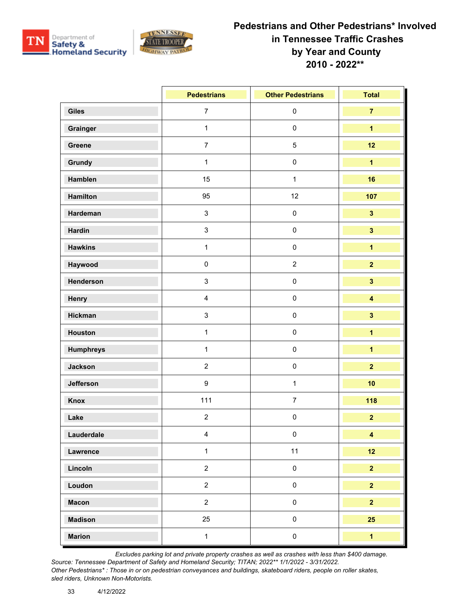



|                  | <b>Pedestrians</b>      | <b>Other Pedestrians</b> | <b>Total</b>            |
|------------------|-------------------------|--------------------------|-------------------------|
| <b>Giles</b>     | $\overline{7}$          | $\pmb{0}$                | $\overline{7}$          |
| Grainger         | $\mathbf{1}$            | $\pmb{0}$                | $\overline{1}$          |
| Greene           | $\overline{7}$          | $\mathbf 5$              | 12                      |
| Grundy           | $\mathbf{1}$            | $\pmb{0}$                | $\overline{1}$          |
| Hamblen          | 15                      | $\mathbf{1}$             | 16                      |
| Hamilton         | 95                      | 12                       | 107                     |
| Hardeman         | $\mathbf{3}$            | $\pmb{0}$                | $\overline{\mathbf{3}}$ |
| <b>Hardin</b>    | $\mathfrak{S}$          | $\pmb{0}$                | $\overline{\mathbf{3}}$ |
| <b>Hawkins</b>   | $\mathbf{1}$            | $\pmb{0}$                | $\overline{\mathbf{1}}$ |
| Haywood          | $\pmb{0}$               | $\overline{2}$           | $\overline{2}$          |
| Henderson        | $\mathfrak{S}$          | $\pmb{0}$                | $\overline{\mathbf{3}}$ |
| Henry            | $\overline{\mathbf{4}}$ | $\pmb{0}$                | $\overline{\mathbf{4}}$ |
| Hickman          | $\mathsf 3$             | $\mathbf 0$              | $\overline{\mathbf{3}}$ |
| Houston          | $\mathbf{1}$            | $\pmb{0}$                | $\overline{\mathbf{1}}$ |
| <b>Humphreys</b> | $\mathbf{1}$            | $\pmb{0}$                | $\overline{\mathbf{1}}$ |
| Jackson          | $\overline{2}$          | $\pmb{0}$                | $\overline{\mathbf{2}}$ |
| Jefferson        | $\boldsymbol{9}$        | $\mathbf{1}$             | 10                      |
| Knox             | 111                     | $\overline{7}$           | 118                     |
| Lake             | $\overline{2}$          | $\pmb{0}$                | $\overline{2}$          |
| Lauderdale       | $\overline{4}$          | $\pmb{0}$                | $\overline{\mathbf{4}}$ |
| Lawrence         | $\mathbf{1}$            | 11                       | 12                      |
| Lincoln          | $\overline{2}$          | $\pmb{0}$                | $\overline{2}$          |
| Loudon           | $\overline{2}$          | $\pmb{0}$                | $\overline{2}$          |
| <b>Macon</b>     | $\overline{2}$          | $\pmb{0}$                | 2 <sup>1</sup>          |
| <b>Madison</b>   | 25                      | $\pmb{0}$                | 25                      |
| <b>Marion</b>    | $\mathbf{1}$            | $\pmb{0}$                | $\overline{\mathbf{1}}$ |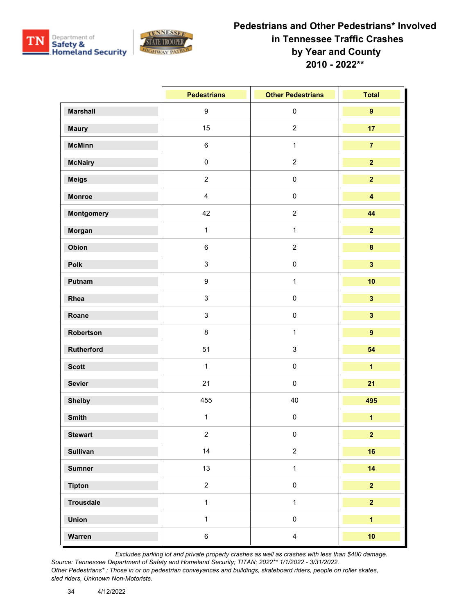



|                  | <b>Pedestrians</b> | <b>Other Pedestrians</b> | <b>Total</b>            |
|------------------|--------------------|--------------------------|-------------------------|
| <b>Marshall</b>  | $\boldsymbol{9}$   | $\pmb{0}$                | $\overline{9}$          |
| <b>Maury</b>     | 15                 | $\overline{c}$           | 17                      |
| <b>McMinn</b>    | $\,6\,$            | $\mathbf{1}$             | $\overline{7}$          |
| <b>McNairy</b>   | $\pmb{0}$          | $\sqrt{2}$               | $\overline{2}$          |
| <b>Meigs</b>     | $\overline{2}$     | $\pmb{0}$                | $\overline{2}$          |
| <b>Monroe</b>    | $\overline{4}$     | $\pmb{0}$                | $\overline{\mathbf{4}}$ |
| Montgomery       | 42                 | $\sqrt{2}$               | 44                      |
| Morgan           | $\mathbf{1}$       | $\mathbf{1}$             | $\overline{2}$          |
| Obion            | $\,6\,$            | $\sqrt{2}$               | $\bf{8}$                |
| Polk             | $\mathbf{3}$       | $\pmb{0}$                | $\overline{\mathbf{3}}$ |
| Putnam           | $\boldsymbol{9}$   | $\mathbf 1$              | 10                      |
| Rhea             | $\mathbf{3}$       | $\pmb{0}$                | $\overline{\mathbf{3}}$ |
| Roane            | $\mathbf{3}$       | $\pmb{0}$                | $\overline{\mathbf{3}}$ |
| Robertson        | 8                  | 1                        | $\overline{9}$          |
| Rutherford       | 51                 | $\sqrt{3}$               | 54                      |
| <b>Scott</b>     | $\mathbf{1}$       | $\pmb{0}$                | $\overline{\mathbf{1}}$ |
| <b>Sevier</b>    | 21                 | $\pmb{0}$                | 21                      |
| <b>Shelby</b>    | 455                | 40                       | 495                     |
| <b>Smith</b>     | $\mathbf{1}$       | $\pmb{0}$                | $\overline{\mathbf{1}}$ |
| <b>Stewart</b>   | $\overline{a}$     | $\pmb{0}$                | $\overline{2}$          |
| <b>Sullivan</b>  | 14                 | $\sqrt{2}$               | 16                      |
| <b>Sumner</b>    | 13                 | $\mathbf{1}$             | 14                      |
| <b>Tipton</b>    | $\overline{2}$     | $\pmb{0}$                | $\overline{2}$          |
| <b>Trousdale</b> | $\mathbf{1}$       | $\mathbf{1}$             | $\overline{2}$          |
| <b>Union</b>     | $\mathbf{1}$       | $\pmb{0}$                | $\overline{1}$          |
| Warren           | $\,6\,$            | $\overline{4}$           | 10                      |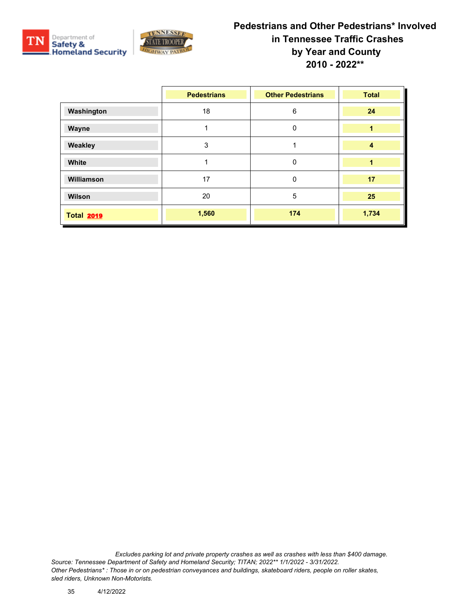



|                   | <b>Pedestrians</b> | <b>Other Pedestrians</b> | <b>Total</b>   |
|-------------------|--------------------|--------------------------|----------------|
| Washington        | 18                 | 6                        | 24             |
| Wayne             |                    | 0                        | 1              |
| Weakley           | 3                  |                          | $\overline{4}$ |
| White             | 1                  | 0                        | 1              |
| Williamson        | 17                 | 0                        | 17             |
| Wilson            | 20                 | 5                        | 25             |
| <b>Total 2019</b> | 1,560              | 174                      | 1,734          |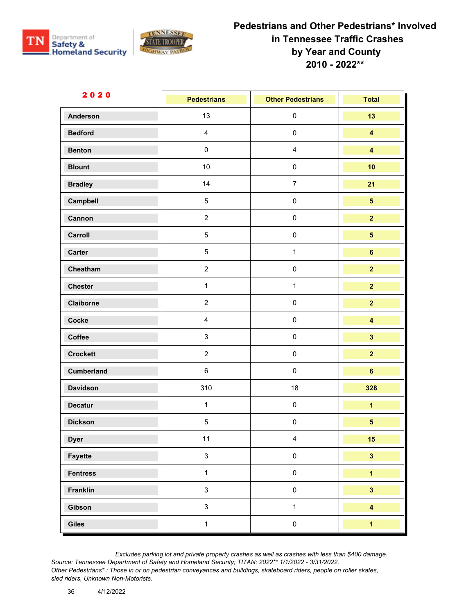



| <u>2020</u>       | <b>Pedestrians</b> | <b>Other Pedestrians</b> | <b>Total</b>            |
|-------------------|--------------------|--------------------------|-------------------------|
| Anderson          | 13                 | $\pmb{0}$                | 13                      |
| <b>Bedford</b>    | $\overline{4}$     | $\pmb{0}$                | $\overline{\mathbf{4}}$ |
| <b>Benton</b>     | $\pmb{0}$          | $\overline{\mathbf{4}}$  | $\overline{\mathbf{4}}$ |
| <b>Blount</b>     | $10$               | $\pmb{0}$                | 10                      |
| <b>Bradley</b>    | 14                 | $\overline{7}$           | 21                      |
| Campbell          | $\sqrt{5}$         | $\pmb{0}$                | $\overline{\mathbf{5}}$ |
| Cannon            | $\overline{2}$     | $\pmb{0}$                | $\overline{2}$          |
| Carroll           | $\overline{5}$     | $\pmb{0}$                | 5 <sub>5</sub>          |
| <b>Carter</b>     | $\sqrt{5}$         | $\mathbf{1}$             | $\bf 6$                 |
| Cheatham          | $\overline{2}$     | $\pmb{0}$                | $\overline{2}$          |
| <b>Chester</b>    | $\mathbf{1}$       | $\mathbf{1}$             | $\overline{2}$          |
| Claiborne         | $\overline{2}$     | $\mathbf 0$              | $\overline{2}$          |
| Cocke             | $\overline{4}$     | $\pmb{0}$                | $\overline{\mathbf{4}}$ |
| Coffee            | $\mathbf{3}$       | $\pmb{0}$                | $\overline{\mathbf{3}}$ |
| <b>Crockett</b>   | $\overline{2}$     | $\pmb{0}$                | $\overline{2}$          |
| <b>Cumberland</b> | $\,6\,$            | $\pmb{0}$                | $\bf 6$                 |
| <b>Davidson</b>   | 310                | 18                       | 328                     |
| <b>Decatur</b>    | $\mathbf{1}$       | $\pmb{0}$                | $\overline{\mathbf{1}}$ |
| <b>Dickson</b>    | $\,$ 5 $\,$        | $\pmb{0}$                | $\overline{\mathbf{5}}$ |
| <b>Dyer</b>       | 11                 | $\overline{4}$           | 15                      |
| Fayette           | $\mathbf{3}$       | $\pmb{0}$                | $\overline{\mathbf{3}}$ |
| <b>Fentress</b>   | $\mathbf{1}$       | $\pmb{0}$                | $\overline{\mathbf{1}}$ |
| Franklin          | $\mathbf{3}$       | $\pmb{0}$                | $\overline{\mathbf{3}}$ |
| Gibson            | $\mathbf{3}$       | $\mathbf{1}$             | $\overline{\mathbf{4}}$ |
| Giles             | $\mathbf{1}$       | $\pmb{0}$                | $\overline{1}$          |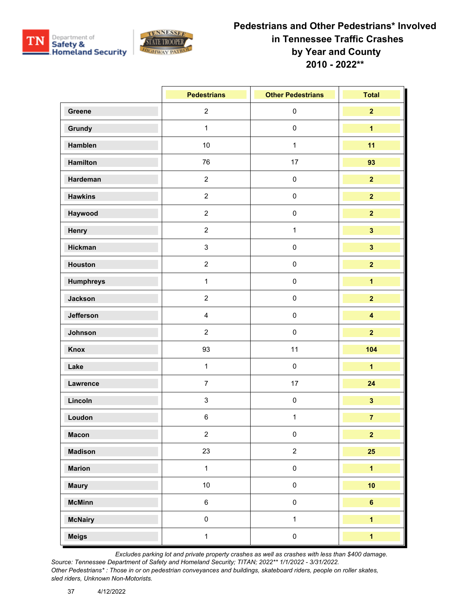



|                  | <b>Pedestrians</b> | <b>Other Pedestrians</b> | <b>Total</b>            |
|------------------|--------------------|--------------------------|-------------------------|
| Greene           | $\overline{2}$     | $\pmb{0}$                | 2 <sup>1</sup>          |
| Grundy           | $\mathbf{1}$       | $\pmb{0}$                | $\overline{1}$          |
| Hamblen          | 10                 | $\mathbf{1}$             | 11                      |
| Hamilton         | 76                 | 17                       | 93                      |
| Hardeman         | $\overline{2}$     | $\pmb{0}$                | $\overline{2}$          |
| <b>Hawkins</b>   | $\overline{2}$     | $\pmb{0}$                | $\overline{2}$          |
| Haywood          | $\overline{2}$     | $\pmb{0}$                | $\overline{2}$          |
| Henry            | $\overline{2}$     | $\mathbf{1}$             | $\overline{\mathbf{3}}$ |
| Hickman          | $\mathbf{3}$       | $\pmb{0}$                | $\overline{\mathbf{3}}$ |
| Houston          | $\overline{2}$     | $\pmb{0}$                | $\overline{2}$          |
| <b>Humphreys</b> | $\mathbf{1}$       | $\pmb{0}$                | $\overline{1}$          |
| Jackson          | $\overline{2}$     | $\pmb{0}$                | $\overline{2}$          |
| Jefferson        | $\overline{4}$     | $\pmb{0}$                | $\overline{\mathbf{4}}$ |
| Johnson          | $\overline{2}$     | $\pmb{0}$                | $\overline{2}$          |
| Knox             | 93                 | 11                       | 104                     |
| Lake             | $\mathbf{1}$       | $\pmb{0}$                | $\overline{1}$          |
| Lawrence         | $\overline{7}$     | 17                       | 24                      |
| Lincoln          | $\mathsf 3$        | $\pmb{0}$                | $\overline{\mathbf{3}}$ |
| Loudon           | 6                  | $\mathbf{1}$             | $\overline{7}$          |
| <b>Macon</b>     | $\overline{2}$     | $\pmb{0}$                | $\overline{2}$          |
| <b>Madison</b>   | 23                 | $\sqrt{2}$               | 25                      |
| <b>Marion</b>    | $\mathbf{1}$       | $\mathsf{O}\xspace$      | $\overline{1}$          |
| <b>Maury</b>     | 10                 | $\pmb{0}$                | 10                      |
| <b>McMinn</b>    | $\,6\,$            | $\pmb{0}$                | $6\phantom{a}$          |
| <b>McNairy</b>   | $\pmb{0}$          | $\mathbf{1}$             | $\overline{1}$          |
| <b>Meigs</b>     | $\mathbf{1}$       | $\pmb{0}$                | $\overline{\mathbf{1}}$ |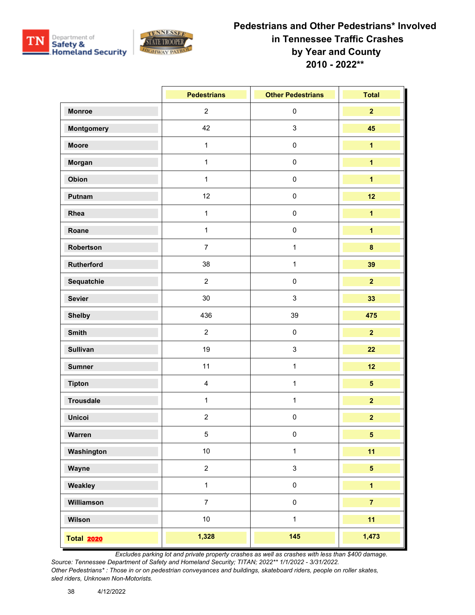



|                   | <b>Pedestrians</b> | <b>Other Pedestrians</b> | <b>Total</b>            |
|-------------------|--------------------|--------------------------|-------------------------|
| <b>Monroe</b>     | $\overline{2}$     | $\pmb{0}$                | $\overline{2}$          |
| <b>Montgomery</b> | 42                 | $\sqrt{3}$               | 45                      |
| <b>Moore</b>      | $\mathbf{1}$       | $\pmb{0}$                | $\overline{1}$          |
| Morgan            | $\mathbf{1}$       | $\pmb{0}$                | $\overline{1}$          |
| Obion             | $\mathbf{1}$       | $\pmb{0}$                | $\overline{1}$          |
| Putnam            | 12                 | $\pmb{0}$                | 12                      |
| Rhea              | $\mathbf{1}$       | $\pmb{0}$                | $\overline{1}$          |
| Roane             | $\mathbf{1}$       | $\pmb{0}$                | $\overline{1}$          |
| Robertson         | $\overline{7}$     | $\mathbf{1}$             | $\pmb{8}$               |
| Rutherford        | 38                 | $\mathbf{1}$             | 39                      |
| Sequatchie        | $\overline{2}$     | $\pmb{0}$                | $\overline{2}$          |
| <b>Sevier</b>     | $30\,$             | $\sqrt{3}$               | 33                      |
| <b>Shelby</b>     | 436                | 39                       | 475                     |
| <b>Smith</b>      | $\overline{2}$     | $\pmb{0}$                | $\overline{2}$          |
| <b>Sullivan</b>   | 19                 | $\sqrt{3}$               | 22                      |
| <b>Sumner</b>     | 11                 | $\mathbf{1}$             | 12                      |
| <b>Tipton</b>     | $\overline{4}$     | $\mathbf{1}$             | 5 <sup>5</sup>          |
| <b>Trousdale</b>  | $\mathbf{1}$       | $\mathbf 1$              | $\overline{2}$          |
| <b>Unicoi</b>     | $\overline{2}$     | $\pmb{0}$                | $\overline{\mathbf{2}}$ |
| Warren            | 5                  | $\pmb{0}$                | $\overline{5}$          |
| Washington        | $10\,$             | $\mathbf{1}$             | 11                      |
| Wayne             | $\overline{2}$     | $\mathsf 3$              | 5 <sup>5</sup>          |
| Weakley           | $\mathbf{1}$       | $\pmb{0}$                | $\overline{1}$          |
| Williamson        | $\overline{7}$     | $\pmb{0}$                | $\overline{7}$          |
| Wilson            | 10                 | $\mathbf{1}$             | 11                      |
| <b>Total 2020</b> | 1,328              | 145                      | 1,473                   |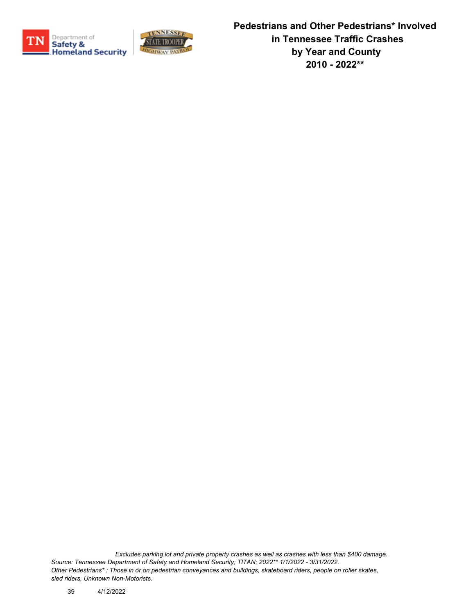



**Pedestrians and Other Pedestrians\* Involved in Tennessee Traffic Crashes by Year and County 2010 - 2022\*\***

*Excludes parking lot and private property crashes as well as crashes with less than \$400 damage. Source: Tennessee Department of Safety and Homeland Security; TITAN; 2022\*\* 1/1/2022 - 3/31/2022. Other Pedestrians\* : Those in or on pedestrian conveyances and buildings, skateboard riders, people on roller skates, sled riders, Unknown Non-Motorists.*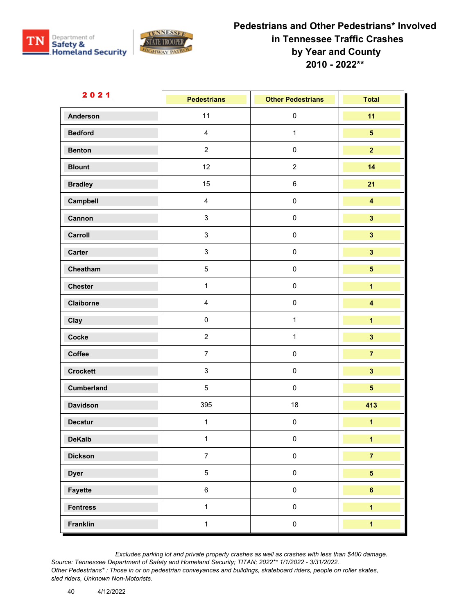



| <u>2021</u>       | <b>Pedestrians</b> | <b>Other Pedestrians</b> | <b>Total</b>            |
|-------------------|--------------------|--------------------------|-------------------------|
| <b>Anderson</b>   | 11                 | $\pmb{0}$                | 11                      |
| <b>Bedford</b>    | $\overline{4}$     | $\mathbf{1}$             | $5\phantom{.0}$         |
| <b>Benton</b>     | $\overline{2}$     | $\pmb{0}$                | $\overline{2}$          |
| <b>Blount</b>     | 12 <sup>°</sup>    | $\sqrt{2}$               | 14                      |
| <b>Bradley</b>    | 15                 | $\,6\,$                  | 21                      |
| Campbell          | $\overline{4}$     | $\pmb{0}$                | $\overline{\mathbf{4}}$ |
| Cannon            | $\mathbf{3}$       | $\pmb{0}$                | $\overline{\mathbf{3}}$ |
| Carroll           | $\mathbf{3}$       | $\pmb{0}$                | $\overline{\mathbf{3}}$ |
| <b>Carter</b>     | $\mathbf{3}$       | $\pmb{0}$                | $\overline{\mathbf{3}}$ |
| Cheatham          | $\overline{5}$     | $\pmb{0}$                | $\overline{\mathbf{5}}$ |
| <b>Chester</b>    | $\mathbf{1}$       | $\pmb{0}$                | $\overline{\mathbf{1}}$ |
| Claiborne         | $\overline{4}$     | $\pmb{0}$                | $\overline{\mathbf{4}}$ |
| Clay              | $\pmb{0}$          | $\mathbf{1}$             | $\overline{\mathbf{1}}$ |
| Cocke             | $\overline{2}$     | $\mathbf{1}$             | $\overline{\mathbf{3}}$ |
| Coffee            | $\overline{7}$     | $\pmb{0}$                | $\overline{7}$          |
| <b>Crockett</b>   | $\mathbf{3}$       | $\pmb{0}$                | $\overline{\mathbf{3}}$ |
| <b>Cumberland</b> | $\overline{5}$     | $\pmb{0}$                | $\overline{\mathbf{5}}$ |
| <b>Davidson</b>   | 395                | 18                       | 413                     |
| <b>Decatur</b>    | $\mathbf{1}$       | $\pmb{0}$                | $\overline{\mathbf{1}}$ |
| <b>DeKalb</b>     | $\mathbf{1}$       | $\mathbf 0$              | $\overline{1}$          |
| <b>Dickson</b>    | $\overline{7}$     | $\pmb{0}$                | $\overline{7}$          |
| <b>Dyer</b>       | $5\phantom{.0}$    | $\pmb{0}$                | $\overline{\mathbf{5}}$ |
| Fayette           | $\,6\,$            | $\pmb{0}$                | $6\phantom{a}$          |
| <b>Fentress</b>   | $\mathbf{1}$       | $\pmb{0}$                | $\overline{1}$          |
| Franklin          | $\mathbf{1}$       | $\pmb{0}$                | $\overline{1}$          |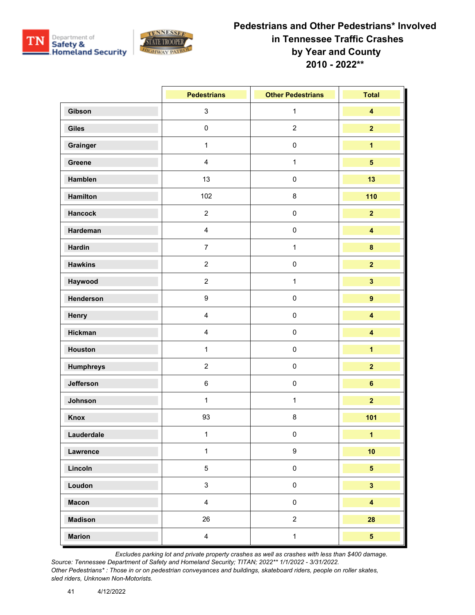



|                  | <b>Pedestrians</b>      | <b>Other Pedestrians</b> | <b>Total</b>            |
|------------------|-------------------------|--------------------------|-------------------------|
| Gibson           | $\mathbf{3}$            | $\mathbf{1}$             | $\overline{\mathbf{4}}$ |
| <b>Giles</b>     | $\pmb{0}$               | $\overline{c}$           | $\overline{2}$          |
| Grainger         | $\mathbf{1}$            | $\pmb{0}$                | $\overline{\mathbf{1}}$ |
| Greene           | $\overline{\mathbf{4}}$ | $\mathbf{1}$             | $\overline{5}$          |
| Hamblen          | 13                      | $\pmb{0}$                | 13                      |
| Hamilton         | 102                     | 8                        | 110                     |
| <b>Hancock</b>   | $\overline{2}$          | $\pmb{0}$                | $\overline{2}$          |
| Hardeman         | $\overline{\mathbf{4}}$ | $\pmb{0}$                | $\overline{\mathbf{4}}$ |
| <b>Hardin</b>    | $\overline{7}$          | $\mathbf{1}$             | $\pmb{8}$               |
| <b>Hawkins</b>   | $\overline{2}$          | $\pmb{0}$                | $\overline{2}$          |
| Haywood          | $\overline{2}$          | 1                        | $\overline{\mathbf{3}}$ |
| Henderson        | 9                       | $\pmb{0}$                | $\overline{9}$          |
| Henry            | $\overline{4}$          | $\pmb{0}$                | $\overline{\mathbf{4}}$ |
| <b>Hickman</b>   | $\overline{\mathbf{4}}$ | $\pmb{0}$                | $\overline{\mathbf{4}}$ |
| Houston          | $\mathbf{1}$            | $\pmb{0}$                | $\overline{\mathbf{1}}$ |
| <b>Humphreys</b> | $\overline{2}$          | $\pmb{0}$                | $\overline{\mathbf{2}}$ |
| Jefferson        | $\,6\,$                 | $\pmb{0}$                | $6\phantom{a}$          |
| Johnson          | $\mathbf{1}$            | $\mathbf{1}$             | $\overline{2}$          |
| Knox             | 93                      | 8                        | 101                     |
| Lauderdale       | $\mathbf{1}$            | $\pmb{0}$                | $\mathbf{1}$            |
| Lawrence         | $\mathbf{1}$            | $\boldsymbol{9}$         | 10                      |
| Lincoln          | $\overline{5}$          | $\pmb{0}$                | 5 <sup>5</sup>          |
| Loudon           | $\mathbf{3}$            | $\pmb{0}$                | $\overline{\mathbf{3}}$ |
| <b>Macon</b>     | $\overline{4}$          | $\pmb{0}$                | $\overline{\mathbf{4}}$ |
| <b>Madison</b>   | 26                      | $\sqrt{2}$               | 28                      |
| <b>Marion</b>    | $\overline{4}$          | $\mathbf{1}$             | $\overline{\mathbf{5}}$ |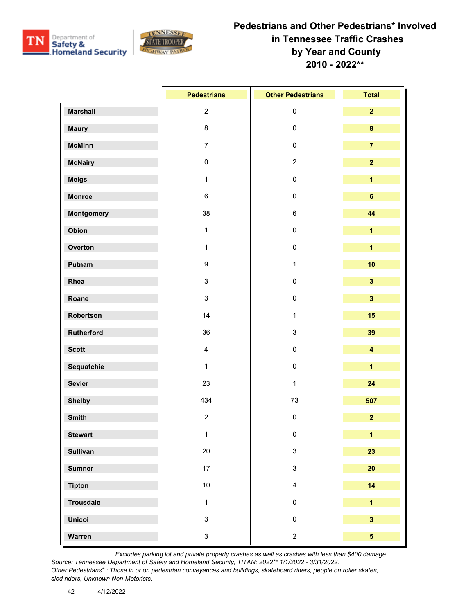



|                  | <b>Pedestrians</b> | <b>Other Pedestrians</b>  | <b>Total</b>            |
|------------------|--------------------|---------------------------|-------------------------|
| <b>Marshall</b>  | $\overline{2}$     | $\pmb{0}$                 | $\overline{2}$          |
| <b>Maury</b>     | $\bf 8$            | $\pmb{0}$                 | $\bf{8}$                |
| <b>McMinn</b>    | $\overline{7}$     | $\mathbf 0$               | $\overline{7}$          |
| <b>McNairy</b>   | $\pmb{0}$          | $\boldsymbol{2}$          | $\overline{2}$          |
| <b>Meigs</b>     | $\mathbf{1}$       | $\pmb{0}$                 | $\overline{\mathbf{1}}$ |
| <b>Monroe</b>    | $\,6\,$            | $\pmb{0}$                 | $\bf 6$                 |
| Montgomery       | 38                 | $\,6\,$                   | 44                      |
| Obion            | $\mathbf{1}$       | $\pmb{0}$                 | $\overline{1}$          |
| Overton          | $\mathbf{1}$       | $\mathbf 0$               | $\overline{\mathbf{1}}$ |
| Putnam           | $\boldsymbol{9}$   | $\mathbf{1}$              | 10                      |
| Rhea             | $\mathfrak{S}$     | $\pmb{0}$                 | $\overline{\mathbf{3}}$ |
| Roane            | $\mathsf 3$        | $\pmb{0}$                 | $\overline{\mathbf{3}}$ |
| Robertson        | 14                 | $\mathbf{1}$              | 15                      |
| Rutherford       | 36                 | $\ensuremath{\mathsf{3}}$ | 39                      |
| <b>Scott</b>     | $\overline{4}$     | $\pmb{0}$                 | $\overline{\mathbf{4}}$ |
| Sequatchie       | $\mathbf{1}$       | $\pmb{0}$                 | $\overline{\mathbf{1}}$ |
| <b>Sevier</b>    | 23                 | $\mathbf{1}$              | 24                      |
| <b>Shelby</b>    | 434                | $73\,$                    | 507                     |
| <b>Smith</b>     | $\overline{2}$     | $\pmb{0}$                 | $\overline{2}$          |
| <b>Stewart</b>   | $\mathbf{1}$       | $\pmb{0}$                 | $\mathbf{1}$            |
| <b>Sullivan</b>  | $20\,$             | $\ensuremath{\mathsf{3}}$ | 23                      |
| <b>Sumner</b>    | 17                 | $\mathsf 3$               | 20                      |
| <b>Tipton</b>    | 10                 | $\overline{\mathbf{4}}$   | 14                      |
| <b>Trousdale</b> | $\mathbf{1}$       | $\pmb{0}$                 | $\overline{1}$          |
| <b>Unicoi</b>    | $\mathfrak{S}$     | $\pmb{0}$                 | $\overline{\mathbf{3}}$ |
| Warren           | $\mathsf 3$        | $\boldsymbol{2}$          | $\overline{\mathbf{5}}$ |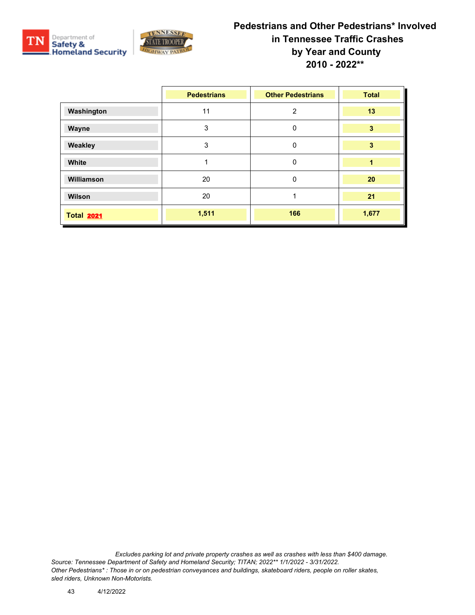



|                   | <b>Pedestrians</b> | <b>Other Pedestrians</b> | <b>Total</b>            |
|-------------------|--------------------|--------------------------|-------------------------|
| Washington        | 11                 | $\overline{2}$           | 13                      |
| Wayne             | 3                  | 0                        | $\overline{\mathbf{3}}$ |
| Weakley           | 3                  | 0                        | 3                       |
| White             | 1                  | 0                        | 1                       |
| Williamson        | 20                 | 0                        | 20                      |
| Wilson            | 20                 |                          | 21                      |
| <b>Total 2021</b> | 1,511              | 166                      | 1,677                   |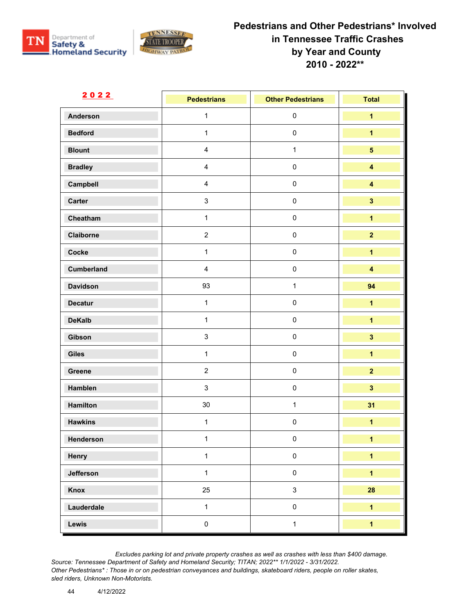



| <u>2022</u>     | <b>Pedestrians</b>      | <b>Other Pedestrians</b> | <b>Total</b>            |
|-----------------|-------------------------|--------------------------|-------------------------|
| <b>Anderson</b> | $\mathbf{1}$            | $\pmb{0}$                | $\overline{\mathbf{1}}$ |
| <b>Bedford</b>  | $\mathbf{1}$            | $\pmb{0}$                | $\overline{\mathbf{1}}$ |
| <b>Blount</b>   | $\overline{4}$          | $\mathbf{1}$             | $\overline{\mathbf{5}}$ |
| <b>Bradley</b>  | $\overline{4}$          | $\pmb{0}$                | $\overline{\mathbf{4}}$ |
| Campbell        | $\overline{\mathbf{4}}$ | $\pmb{0}$                | $\overline{\mathbf{4}}$ |
| Carter          | $\mathsf 3$             | $\mathbf 0$              | $\overline{\mathbf{3}}$ |
| Cheatham        | $\mathbf{1}$            | $\pmb{0}$                | $\overline{\mathbf{1}}$ |
| Claiborne       | $\overline{2}$          | $\pmb{0}$                | $\overline{2}$          |
| Cocke           | $\mathbf{1}$            | $\pmb{0}$                | $\overline{\mathbf{1}}$ |
| Cumberland      | $\overline{4}$          | $\mathbf 0$              | $\overline{\mathbf{4}}$ |
| <b>Davidson</b> | 93                      | $\mathbf{1}$             | 94                      |
| <b>Decatur</b>  | $\mathbf{1}$            | $\mathbf 0$              | $\overline{\mathbf{1}}$ |
| <b>DeKalb</b>   | $\mathbf{1}$            | $\pmb{0}$                | $\overline{\mathbf{1}}$ |
| Gibson          | $\mathsf 3$             | $\pmb{0}$                | $\mathbf{3}$            |
| Giles           | $\mathbf{1}$            | $\mathbf 0$              | $\overline{\mathbf{1}}$ |
| Greene          | $\overline{2}$          | $\pmb{0}$                | $\overline{2}$          |
| Hamblen         | $\mathbf{3}$            | $\pmb{0}$                | $\overline{\mathbf{3}}$ |
| <b>Hamilton</b> | $30\,$                  | $\mathbf{1}$             | 31                      |
| <b>Hawkins</b>  | $\mathbf{1}$            | $\pmb{0}$                | $\overline{\mathbf{1}}$ |
| Henderson       | $\mathbf{1}$            | 0                        | $\mathbf{1}$            |
| Henry           | $\mathbf{1}$            | $\pmb{0}$                | $\overline{\mathbf{1}}$ |
| Jefferson       | $\mathbf{1}$            | $\pmb{0}$                | $\overline{1}$          |
| Knox            | 25                      | $\mathfrak{S}$           | 28                      |
| Lauderdale      | $\mathbf{1}$            | $\mathbf 0$              | $\overline{1}$          |
| Lewis           | $\mathsf{O}\xspace$     | $\mathbf{1}$             | $\overline{1}$          |